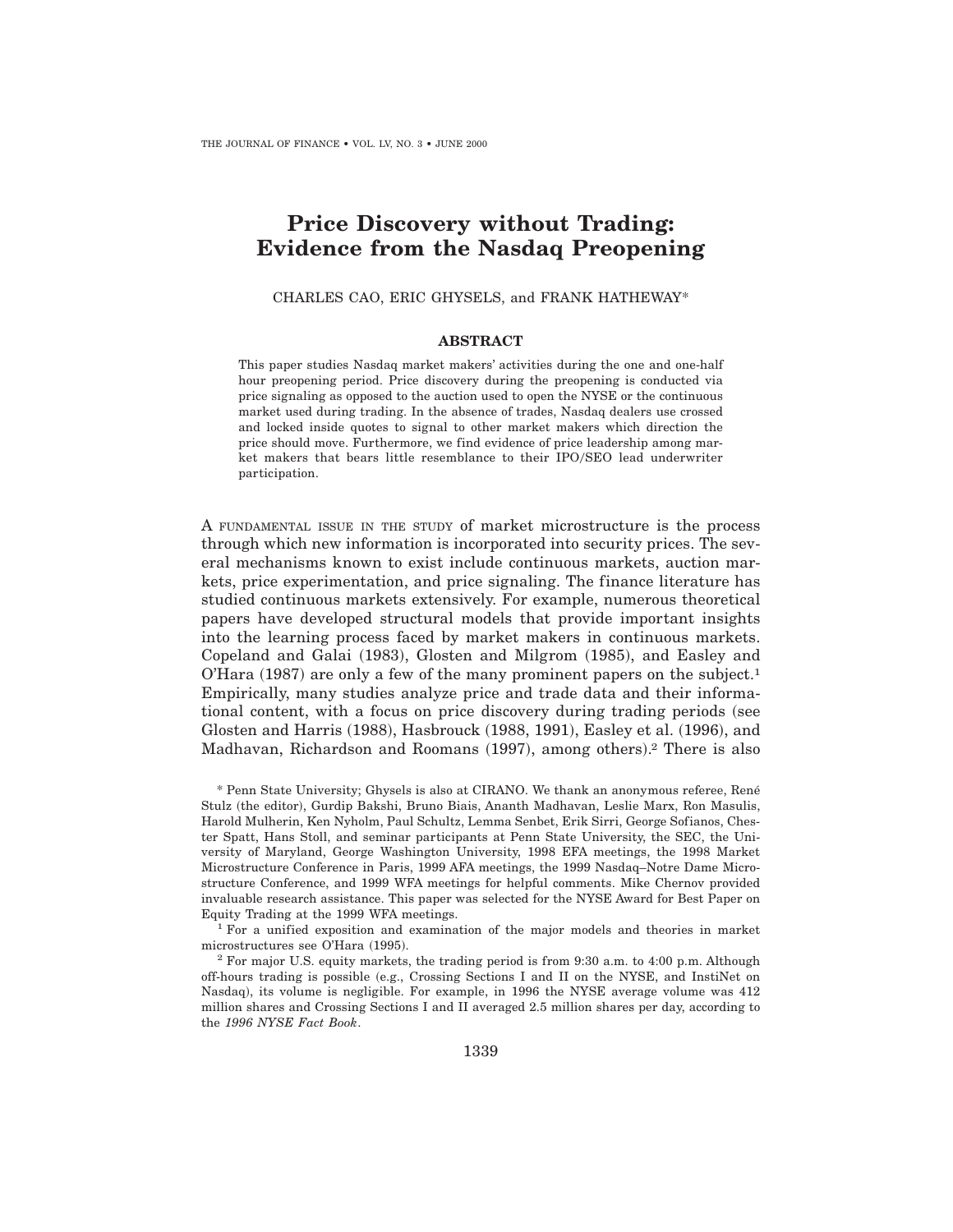# **Price Discovery without Trading: Evidence from the Nasdaq Preopening**

CHARLES CAO, ERIC GHYSELS, and FRANK HATHEWAY\*

#### **ABSTRACT**

This paper studies Nasdaq market makers' activities during the one and one-half hour preopening period. Price discovery during the preopening is conducted via price signaling as opposed to the auction used to open the NYSE or the continuous market used during trading. In the absence of trades, Nasdaq dealers use crossed and locked inside quotes to signal to other market makers which direction the price should move. Furthermore, we find evidence of price leadership among market makers that bears little resemblance to their IPO/SEO lead underwriter participation.

A FUNDAMENTAL ISSUE IN THE STUDY of market microstructure is the process through which new information is incorporated into security prices. The several mechanisms known to exist include continuous markets, auction markets, price experimentation, and price signaling. The finance literature has studied continuous markets extensively. For example, numerous theoretical papers have developed structural models that provide important insights into the learning process faced by market makers in continuous markets. Copeland and Galai (1983), Glosten and Milgrom (1985), and Easley and O'Hara  $(1987)$  are only a few of the many prominent papers on the subject.<sup>1</sup> Empirically, many studies analyze price and trade data and their informational content, with a focus on price discovery during trading periods (see Glosten and Harris  $(1988)$ , Hasbrouck  $(1988, 1991)$ , Easley et al.  $(1996)$ , and Madhavan, Richardson and Roomans (1997), among others).<sup>2</sup> There is also

\* Penn State University; Ghysels is also at CIRANO. We thank an anonymous referee, René Stulz (the editor), Gurdip Bakshi, Bruno Biais, Ananth Madhavan, Leslie Marx, Ron Masulis, Harold Mulherin, Ken Nyholm, Paul Schultz, Lemma Senbet, Erik Sirri, George Sofianos, Chester Spatt, Hans Stoll, and seminar participants at Penn State University, the SEC, the University of Maryland, George Washington University, 1998 EFA meetings, the 1998 Market Microstructure Conference in Paris, 1999 AFA meetings, the 1999 Nasdaq–Notre Dame Microstructure Conference, and 1999 WFA meetings for helpful comments. Mike Chernov provided invaluable research assistance. This paper was selected for the NYSE Award for Best Paper on Equity Trading at the 1999 WFA meetings.

<sup>1</sup> For a unified exposition and examination of the major models and theories in market microstructures see O'Hara (1995).

<sup>2</sup> For major U.S. equity markets, the trading period is from 9:30 a.m. to 4:00 p.m. Although off-hours trading is possible (e.g., Crossing Sections I and II on the NYSE, and InstiNet on Nasdaq), its volume is negligible. For example, in 1996 the NYSE average volume was 412 million shares and Crossing Sections I and II averaged 2.5 million shares per day, according to the *1996 NYSE Fact Book*.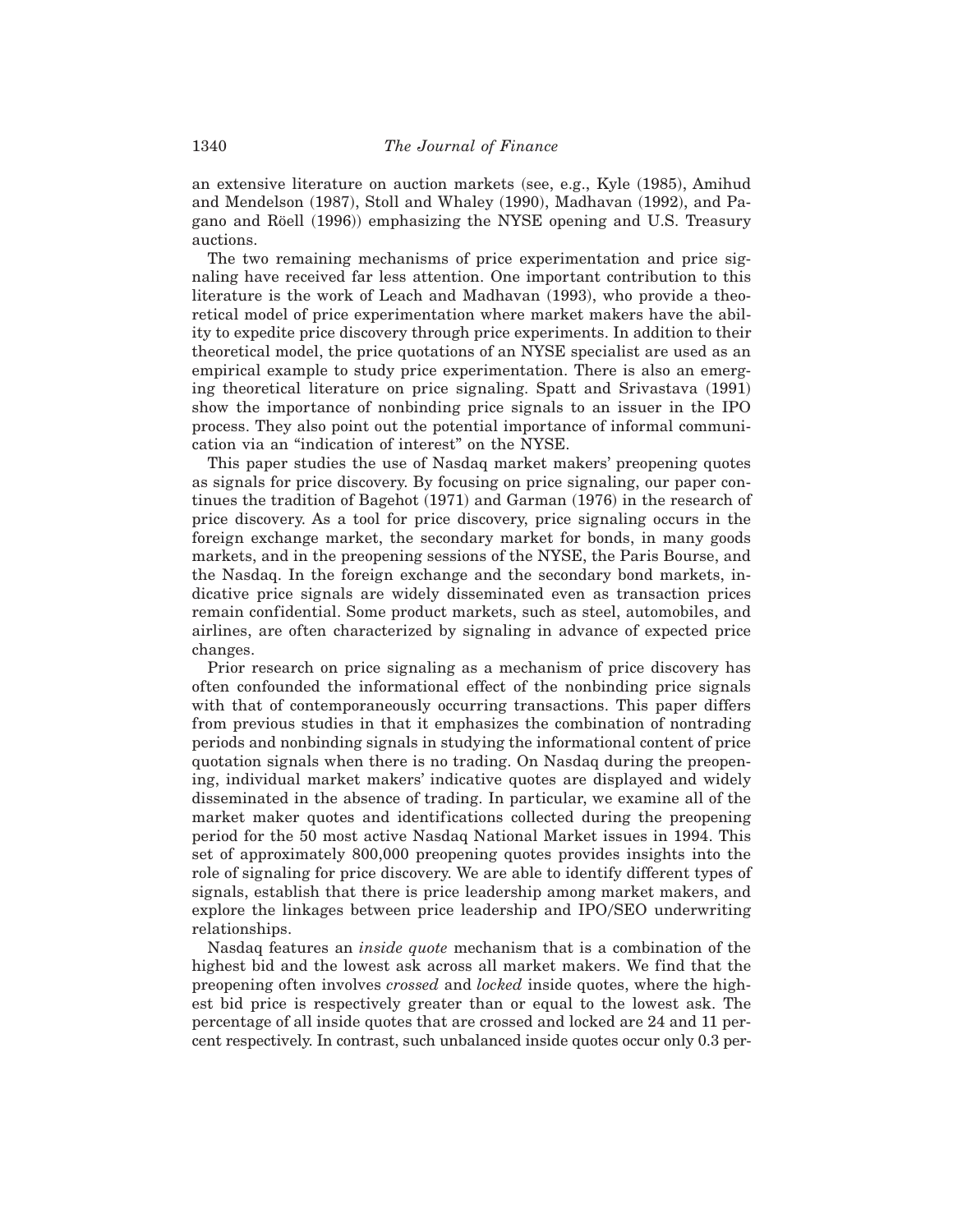an extensive literature on auction markets (see, e.g., Kyle  $(1985)$ , Amihud and Mendelson  $(1987)$ , Stoll and Whaley  $(1990)$ , Madhavan  $(1992)$ , and Pagano and Röell (1996)) emphasizing the NYSE opening and U.S. Treasury auctions.

The two remaining mechanisms of price experimentation and price signaling have received far less attention. One important contribution to this literature is the work of Leach and Madhavan  $(1993)$ , who provide a theoretical model of price experimentation where market makers have the ability to expedite price discovery through price experiments. In addition to their theoretical model, the price quotations of an NYSE specialist are used as an empirical example to study price experimentation. There is also an emerging theoretical literature on price signaling. Spatt and Srivastava  $(1991)$ show the importance of nonbinding price signals to an issuer in the IPO process. They also point out the potential importance of informal communication via an "indication of interest" on the NYSE.

This paper studies the use of Nasdaq market makers' preopening quotes as signals for price discovery. By focusing on price signaling, our paper continues the tradition of Bagehot  $(1971)$  and Garman  $(1976)$  in the research of price discovery. As a tool for price discovery, price signaling occurs in the foreign exchange market, the secondary market for bonds, in many goods markets, and in the preopening sessions of the NYSE, the Paris Bourse, and the Nasdaq. In the foreign exchange and the secondary bond markets, indicative price signals are widely disseminated even as transaction prices remain confidential. Some product markets, such as steel, automobiles, and airlines, are often characterized by signaling in advance of expected price changes.

Prior research on price signaling as a mechanism of price discovery has often confounded the informational effect of the nonbinding price signals with that of contemporaneously occurring transactions. This paper differs from previous studies in that it emphasizes the combination of nontrading periods and nonbinding signals in studying the informational content of price quotation signals when there is no trading. On Nasdaq during the preopening, individual market makers' indicative quotes are displayed and widely disseminated in the absence of trading. In particular, we examine all of the market maker quotes and identifications collected during the preopening period for the 50 most active Nasdaq National Market issues in 1994. This set of approximately 800,000 preopening quotes provides insights into the role of signaling for price discovery. We are able to identify different types of signals, establish that there is price leadership among market makers, and explore the linkages between price leadership and IPO/SEO underwriting relationships.

Nasdaq features an *inside quote* mechanism that is a combination of the highest bid and the lowest ask across all market makers. We find that the preopening often involves *crossed* and *locked* inside quotes, where the highest bid price is respectively greater than or equal to the lowest ask. The percentage of all inside quotes that are crossed and locked are 24 and 11 percent respectively. In contrast, such unbalanced inside quotes occur only 0.3 per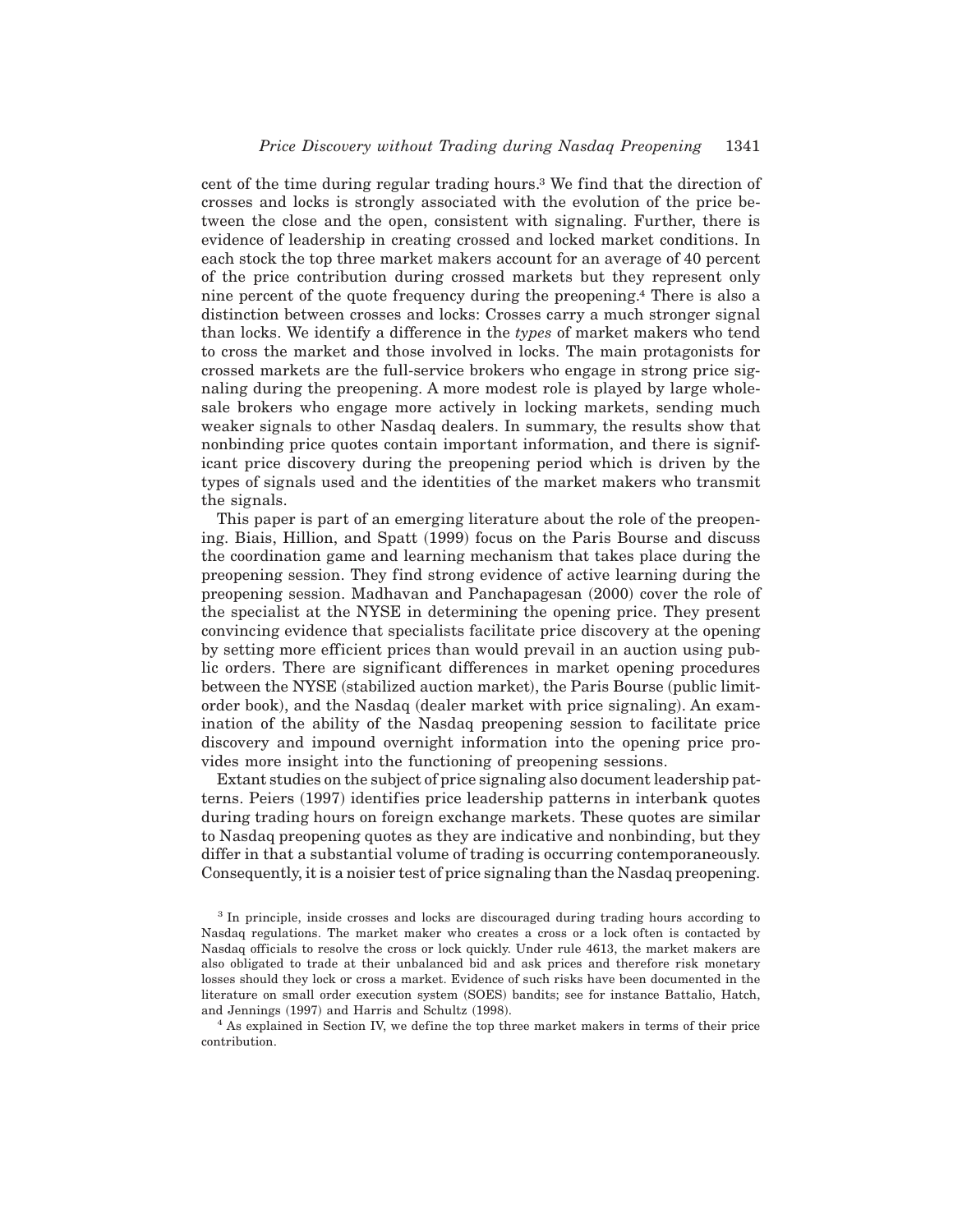cent of the time during regular trading hours.3 We find that the direction of crosses and locks is strongly associated with the evolution of the price between the close and the open, consistent with signaling. Further, there is evidence of leadership in creating crossed and locked market conditions. In each stock the top three market makers account for an average of 40 percent of the price contribution during crossed markets but they represent only nine percent of the quote frequency during the preopening.4 There is also a distinction between crosses and locks: Crosses carry a much stronger signal than locks. We identify a difference in the *types* of market makers who tend to cross the market and those involved in locks. The main protagonists for crossed markets are the full-service brokers who engage in strong price signaling during the preopening. A more modest role is played by large wholesale brokers who engage more actively in locking markets, sending much weaker signals to other Nasdaq dealers. In summary, the results show that nonbinding price quotes contain important information, and there is significant price discovery during the preopening period which is driven by the types of signals used and the identities of the market makers who transmit the signals.

This paper is part of an emerging literature about the role of the preopening. Biais, Hillion, and Spatt (1999) focus on the Paris Bourse and discuss the coordination game and learning mechanism that takes place during the preopening session. They find strong evidence of active learning during the preopening session. Madhavan and Panchapagesan  $(2000)$  cover the role of the specialist at the NYSE in determining the opening price. They present convincing evidence that specialists facilitate price discovery at the opening by setting more efficient prices than would prevail in an auction using public orders. There are significant differences in market opening procedures between the NYSE (stabilized auction market), the Paris Bourse (public limitorder book), and the Nasdaq (dealer market with price signaling). An examination of the ability of the Nasdaq preopening session to facilitate price discovery and impound overnight information into the opening price provides more insight into the functioning of preopening sessions.

Extant studies on the subject of price signaling also document leadership patterns. Peiers (1997) identifies price leadership patterns in interbank quotes during trading hours on foreign exchange markets. These quotes are similar to Nasdaq preopening quotes as they are indicative and nonbinding, but they differ in that a substantial volume of trading is occurring contemporaneously. Consequently, it is a noisier test of price signaling than the Nasdaq preopening.

<sup>3</sup> In principle, inside crosses and locks are discouraged during trading hours according to Nasdaq regulations. The market maker who creates a cross or a lock often is contacted by Nasdaq officials to resolve the cross or lock quickly. Under rule 4613, the market makers are also obligated to trade at their unbalanced bid and ask prices and therefore risk monetary losses should they lock or cross a market. Evidence of such risks have been documented in the literature on small order execution system (SOES) bandits; see for instance Battalio, Hatch, and Jennings  $(1997)$  and Harris and Schultz  $(1998)$ .

<sup>4</sup> As explained in Section IV, we define the top three market makers in terms of their price contribution.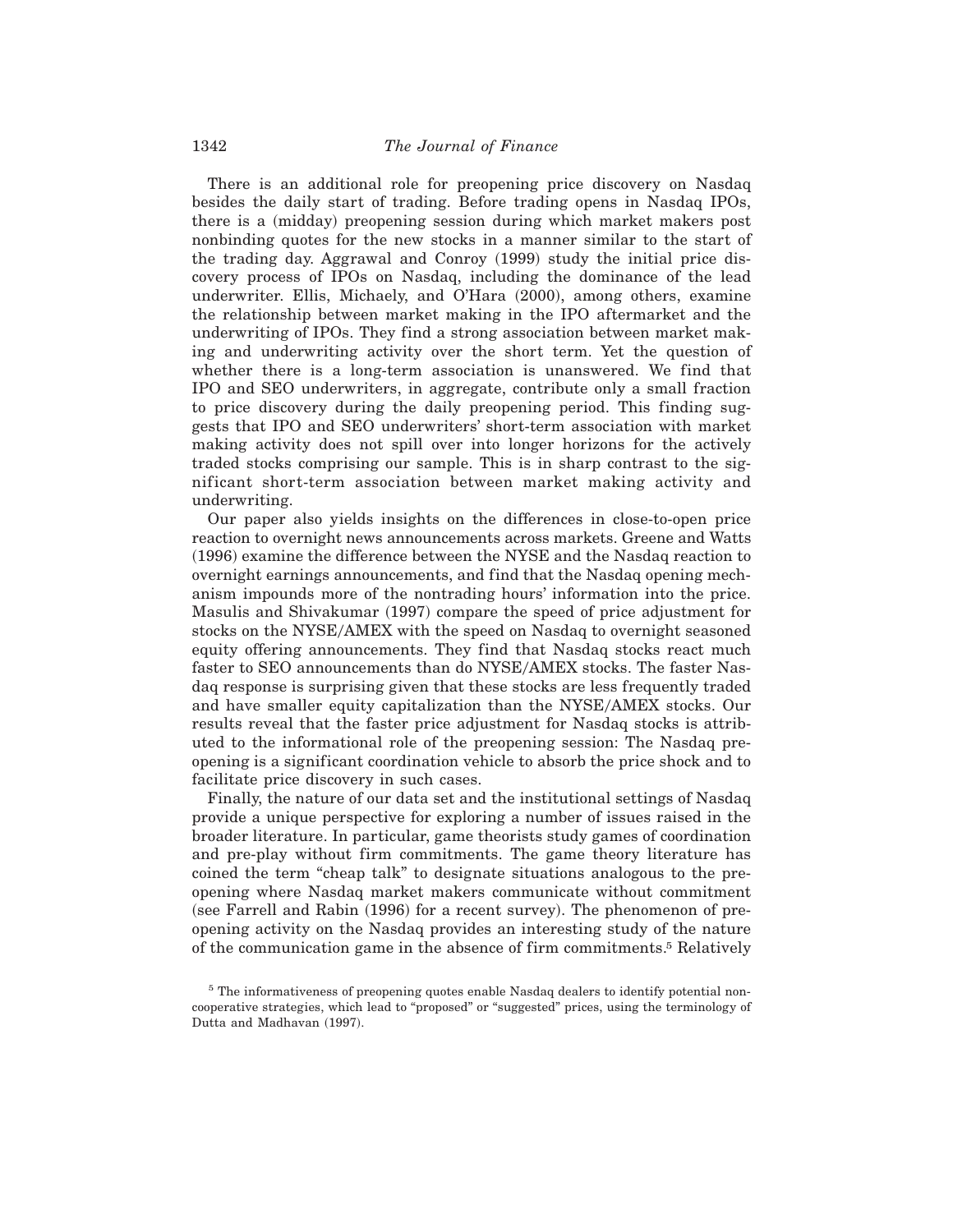There is an additional role for preopening price discovery on Nasdaq besides the daily start of trading. Before trading opens in Nasdaq IPOs, there is a (midday) preopening session during which market makers post nonbinding quotes for the new stocks in a manner similar to the start of the trading day. Aggrawal and Conroy (1999) study the initial price discovery process of IPOs on Nasdaq, including the dominance of the lead underwriter. Ellis, Michaely, and O'Hara (2000), among others, examine the relationship between market making in the IPO aftermarket and the underwriting of IPOs. They find a strong association between market making and underwriting activity over the short term. Yet the question of whether there is a long-term association is unanswered. We find that IPO and SEO underwriters, in aggregate, contribute only a small fraction to price discovery during the daily preopening period. This finding suggests that IPO and SEO underwriters' short-term association with market making activity does not spill over into longer horizons for the actively traded stocks comprising our sample. This is in sharp contrast to the significant short-term association between market making activity and underwriting.

Our paper also yields insights on the differences in close-to-open price reaction to overnight news announcements across markets. Greene and Watts  $(1996)$  examine the difference between the NYSE and the Nasdaq reaction to overnight earnings announcements, and find that the Nasdaq opening mechanism impounds more of the nontrading hours' information into the price. Masulis and Shivakumar (1997) compare the speed of price adjustment for stocks on the NYSE/AMEX with the speed on Nasdaq to overnight seasoned equity offering announcements. They find that Nasdaq stocks react much faster to SEO announcements than do NYSE/AMEX stocks. The faster Nasdaq response is surprising given that these stocks are less frequently traded and have smaller equity capitalization than the NYSE/AMEX stocks. Our results reveal that the faster price adjustment for Nasdaq stocks is attributed to the informational role of the preopening session: The Nasdaq preopening is a significant coordination vehicle to absorb the price shock and to facilitate price discovery in such cases.

Finally, the nature of our data set and the institutional settings of Nasdaq provide a unique perspective for exploring a number of issues raised in the broader literature. In particular, game theorists study games of coordination and pre-play without firm commitments. The game theory literature has coined the term "cheap talk" to designate situations analogous to the preopening where Nasdaq market makers communicate without commitment  $(see Farrell and Rabin (1996) for a recent survey). The phenomenon of pre$ opening activity on the Nasdaq provides an interesting study of the nature of the communication game in the absence of firm commitments.5 Relatively

<sup>&</sup>lt;sup>5</sup> The informativeness of preopening quotes enable Nasdaq dealers to identify potential noncooperative strategies, which lead to "proposed" or "suggested" prices, using the terminology of Dutta and Madhavan (1997).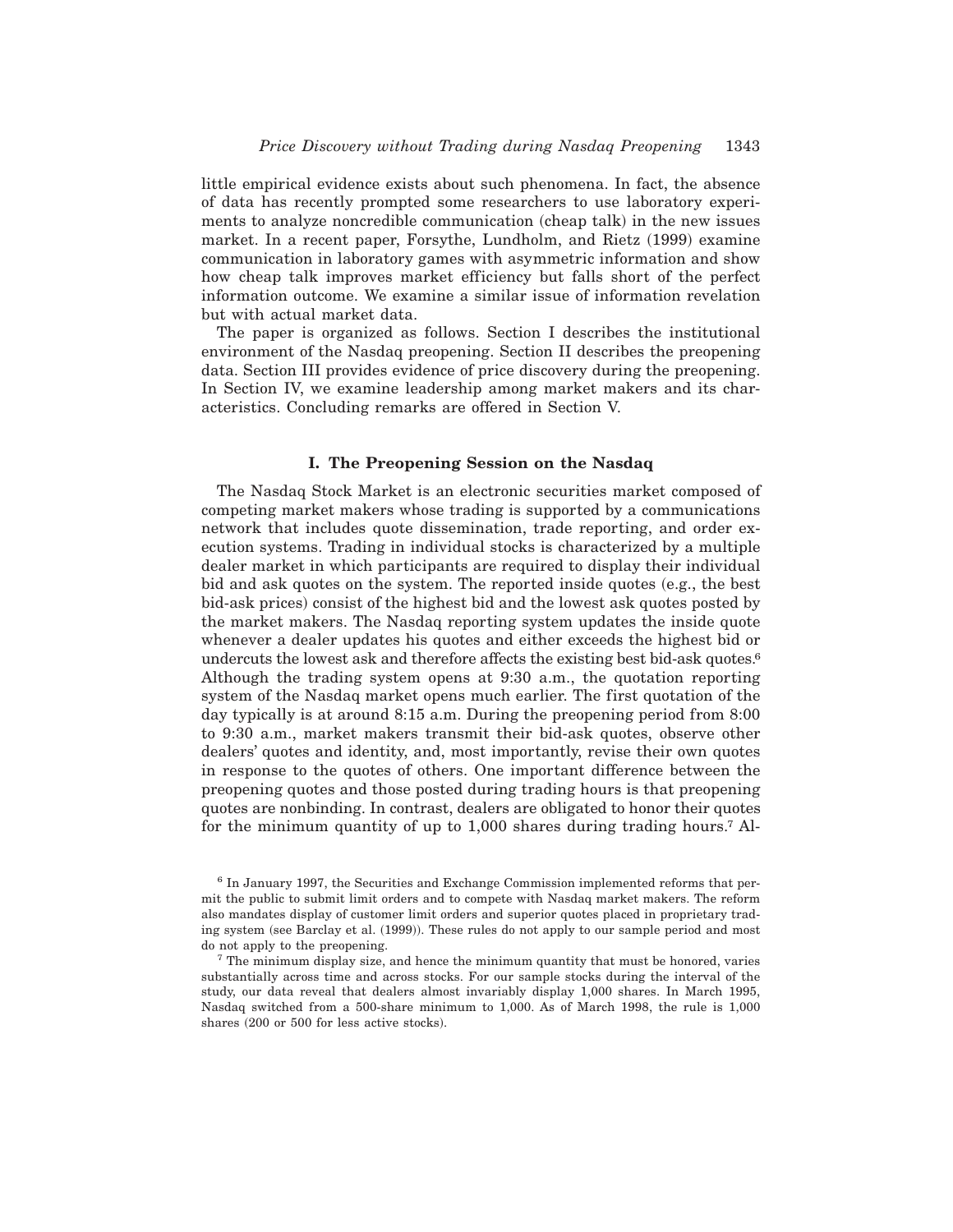little empirical evidence exists about such phenomena. In fact, the absence of data has recently prompted some researchers to use laboratory experiments to analyze noncredible communication (cheap talk) in the new issues market. In a recent paper, Forsythe, Lundholm, and Rietz (1999) examine communication in laboratory games with asymmetric information and show how cheap talk improves market efficiency but falls short of the perfect information outcome. We examine a similar issue of information revelation but with actual market data.

The paper is organized as follows. Section I describes the institutional environment of the Nasdaq preopening. Section II describes the preopening data. Section III provides evidence of price discovery during the preopening. In Section IV, we examine leadership among market makers and its characteristics. Concluding remarks are offered in Section V.

### **I. The Preopening Session on the Nasdaq**

The Nasdaq Stock Market is an electronic securities market composed of competing market makers whose trading is supported by a communications network that includes quote dissemination, trade reporting, and order execution systems. Trading in individual stocks is characterized by a multiple dealer market in which participants are required to display their individual bid and ask quotes on the system. The reported inside quotes  $(e.g., the best)$ bid-ask prices) consist of the highest bid and the lowest ask quotes posted by the market makers. The Nasdaq reporting system updates the inside quote whenever a dealer updates his quotes and either exceeds the highest bid or undercuts the lowest ask and therefore affects the existing best bid-ask quotes.6 Although the trading system opens at 9:30 a.m., the quotation reporting system of the Nasdaq market opens much earlier. The first quotation of the day typically is at around 8:15 a.m. During the preopening period from 8:00 to 9:30 a.m., market makers transmit their bid-ask quotes, observe other dealers' quotes and identity, and, most importantly, revise their own quotes in response to the quotes of others. One important difference between the preopening quotes and those posted during trading hours is that preopening quotes are nonbinding. In contrast, dealers are obligated to honor their quotes for the minimum quantity of up to 1,000 shares during trading hours.7 Al-

<sup>6</sup> In January 1997, the Securities and Exchange Commission implemented reforms that permit the public to submit limit orders and to compete with Nasdaq market makers. The reform also mandates display of customer limit orders and superior quotes placed in proprietary trading system (see Barclay et al. (1999)). These rules do not apply to our sample period and most do not apply to the preopening.

<sup>7</sup> The minimum display size, and hence the minimum quantity that must be honored, varies substantially across time and across stocks. For our sample stocks during the interval of the study, our data reveal that dealers almost invariably display 1,000 shares. In March 1995, Nasdaq switched from a 500-share minimum to 1,000. As of March 1998, the rule is 1,000 shares  $(200$  or  $500$  for less active stocks).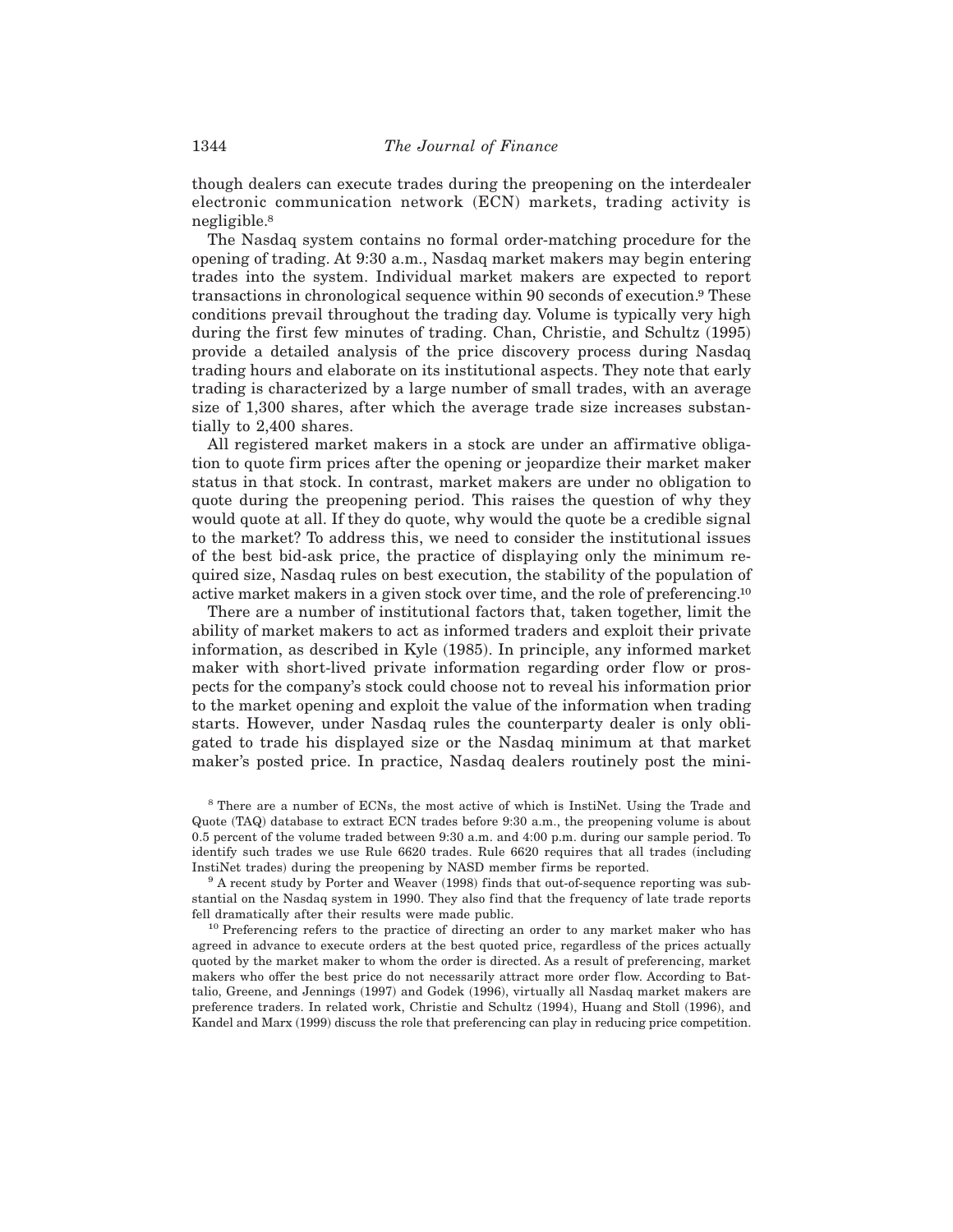though dealers can execute trades during the preopening on the interdealer electronic communication network  $(ECN)$  markets, trading activity is negligible.8

The Nasdaq system contains no formal order-matching procedure for the opening of trading. At 9:30 a.m., Nasdaq market makers may begin entering trades into the system. Individual market makers are expected to report transactions in chronological sequence within 90 seconds of execution.9 These conditions prevail throughout the trading day. Volume is typically very high during the first few minutes of trading. Chan, Christie, and Schultz (1995) provide a detailed analysis of the price discovery process during Nasdaq trading hours and elaborate on its institutional aspects. They note that early trading is characterized by a large number of small trades, with an average size of 1,300 shares, after which the average trade size increases substantially to 2,400 shares.

All registered market makers in a stock are under an affirmative obligation to quote firm prices after the opening or jeopardize their market maker status in that stock. In contrast, market makers are under no obligation to quote during the preopening period. This raises the question of why they would quote at all. If they do quote, why would the quote be a credible signal to the market? To address this, we need to consider the institutional issues of the best bid-ask price, the practice of displaying only the minimum required size, Nasdaq rules on best execution, the stability of the population of active market makers in a given stock over time, and the role of preferencing.10

There are a number of institutional factors that, taken together, limit the ability of market makers to act as informed traders and exploit their private information, as described in Kyle  $(1985)$ . In principle, any informed market maker with short-lived private information regarding order flow or prospects for the company's stock could choose not to reveal his information prior to the market opening and exploit the value of the information when trading starts. However, under Nasdaq rules the counterparty dealer is only obligated to trade his displayed size or the Nasdaq minimum at that market maker's posted price. In practice, Nasdaq dealers routinely post the mini-

<sup>8</sup> There are a number of ECNs, the most active of which is InstiNet. Using the Trade and Quote (TAQ) database to extract ECN trades before 9:30 a.m., the preopening volume is about 0.5 percent of the volume traded between 9:30 a.m. and 4:00 p.m. during our sample period. To  $identity$  such trades we use Rule 6620 trades. Rule 6620 requires that all trades  $(including$ InstiNet trades) during the preopening by NASD member firms be reported.

 $9$  A recent study by Porter and Weaver  $(1998)$  finds that out-of-sequence reporting was substantial on the Nasdaq system in 1990. They also find that the frequency of late trade reports fell dramatically after their results were made public.

<sup>10</sup> Preferencing refers to the practice of directing an order to any market maker who has agreed in advance to execute orders at the best quoted price, regardless of the prices actually quoted by the market maker to whom the order is directed. As a result of preferencing, market makers who offer the best price do not necessarily attract more order flow. According to Battalio, Greene, and Jennings (1997) and Godek (1996), virtually all Nasdaq market makers are preference traders. In related work, Christie and Schultz (1994), Huang and Stoll (1996), and Kandel and Marx (1999) discuss the role that preferencing can play in reducing price competition.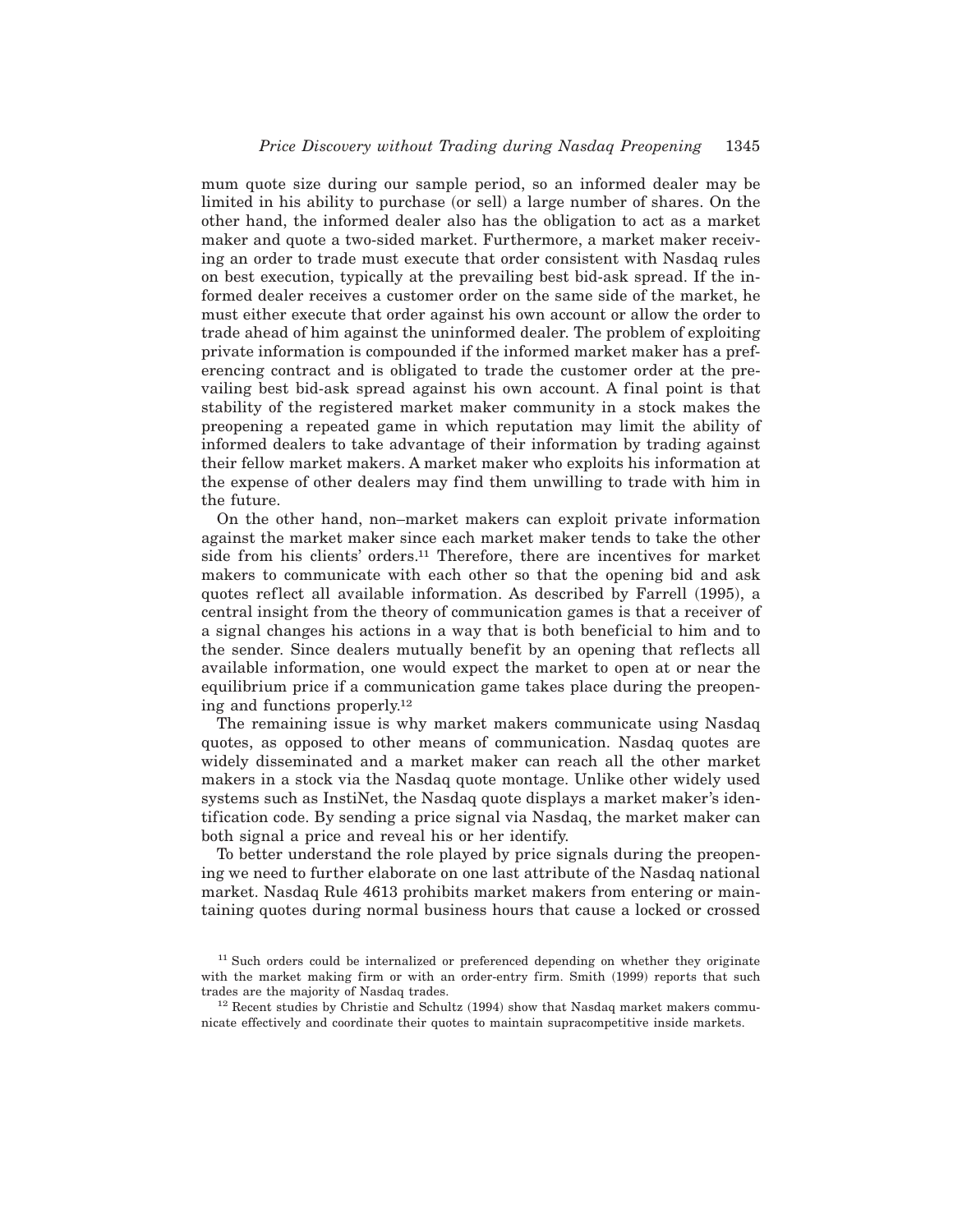mum quote size during our sample period, so an informed dealer may be limited in his ability to purchase (or sell) a large number of shares. On the other hand, the informed dealer also has the obligation to act as a market maker and quote a two-sided market. Furthermore, a market maker receiving an order to trade must execute that order consistent with Nasdaq rules on best execution, typically at the prevailing best bid-ask spread. If the informed dealer receives a customer order on the same side of the market, he must either execute that order against his own account or allow the order to trade ahead of him against the uninformed dealer. The problem of exploiting private information is compounded if the informed market maker has a preferencing contract and is obligated to trade the customer order at the prevailing best bid-ask spread against his own account. A final point is that stability of the registered market maker community in a stock makes the preopening a repeated game in which reputation may limit the ability of informed dealers to take advantage of their information by trading against their fellow market makers. A market maker who exploits his information at the expense of other dealers may find them unwilling to trade with him in the future.

On the other hand, non–market makers can exploit private information against the market maker since each market maker tends to take the other side from his clients' orders.11 Therefore, there are incentives for market makers to communicate with each other so that the opening bid and ask quotes reflect all available information. As described by Farrell (1995), a central insight from the theory of communication games is that a receiver of a signal changes his actions in a way that is both beneficial to him and to the sender. Since dealers mutually benefit by an opening that reflects all available information, one would expect the market to open at or near the equilibrium price if a communication game takes place during the preopening and functions properly.12

The remaining issue is why market makers communicate using Nasdaq quotes, as opposed to other means of communication. Nasdaq quotes are widely disseminated and a market maker can reach all the other market makers in a stock via the Nasdaq quote montage. Unlike other widely used systems such as InstiNet, the Nasdaq quote displays a market maker's identification code. By sending a price signal via Nasdaq, the market maker can both signal a price and reveal his or her identify.

To better understand the role played by price signals during the preopening we need to further elaborate on one last attribute of the Nasdaq national market. Nasdaq Rule 4613 prohibits market makers from entering or maintaining quotes during normal business hours that cause a locked or crossed

<sup>&</sup>lt;sup>11</sup> Such orders could be internalized or preferenced depending on whether they originate with the market making firm or with an order-entry firm. Smith (1999) reports that such trades are the majority of Nasdaq trades.

 $12$  Recent studies by Christie and Schultz (1994) show that Nasdaq market makers communicate effectively and coordinate their quotes to maintain supracompetitive inside markets.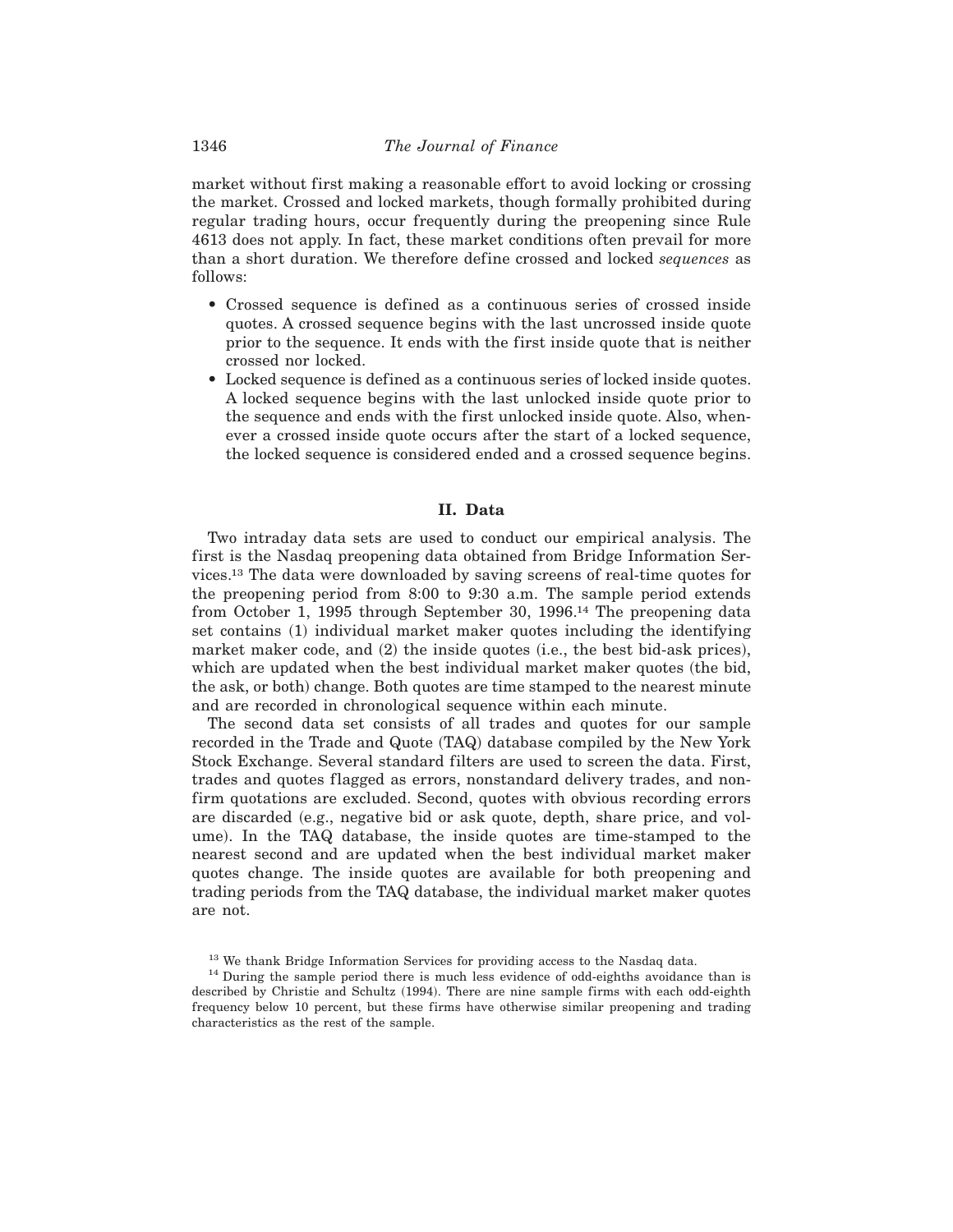market without first making a reasonable effort to avoid locking or crossing the market. Crossed and locked markets, though formally prohibited during regular trading hours, occur frequently during the preopening since Rule 4613 does not apply. In fact, these market conditions often prevail for more than a short duration. We therefore define crossed and locked *sequences* as follows:

- Crossed sequence is defined as a continuous series of crossed inside quotes. A crossed sequence begins with the last uncrossed inside quote prior to the sequence. It ends with the first inside quote that is neither crossed nor locked.
- Locked sequence is defined as a continuous series of locked inside quotes. A locked sequence begins with the last unlocked inside quote prior to the sequence and ends with the first unlocked inside quote. Also, whenever a crossed inside quote occurs after the start of a locked sequence, the locked sequence is considered ended and a crossed sequence begins.

# **II. Data**

Two intraday data sets are used to conduct our empirical analysis. The first is the Nasdaq preopening data obtained from Bridge Information Services.13 The data were downloaded by saving screens of real-time quotes for the preopening period from 8:00 to 9:30 a.m. The sample period extends from October 1, 1995 through September 30, 1996.14 The preopening data  $set$  contains  $(1)$  individual market maker quotes including the identifying market maker code, and  $(2)$  the inside quotes  $(i.e., the best bid-ask prices),$ which are updated when the best individual market maker quotes (the bid, the ask, or both) change. Both quotes are time stamped to the nearest minute and are recorded in chronological sequence within each minute.

The second data set consists of all trades and quotes for our sample recorded in the Trade and Quote (TAQ) database compiled by the New York Stock Exchange. Several standard filters are used to screen the data. First, trades and quotes flagged as errors, nonstandard delivery trades, and nonfirm quotations are excluded. Second, quotes with obvious recording errors are discarded (e.g., negative bid or ask quote, depth, share price, and volume). In the TAQ database, the inside quotes are time-stamped to the nearest second and are updated when the best individual market maker quotes change. The inside quotes are available for both preopening and trading periods from the TAQ database, the individual market maker quotes are not.

<sup>&</sup>lt;sup>13</sup> We thank Bridge Information Services for providing access to the Nasdaq data.

<sup>&</sup>lt;sup>14</sup> During the sample period there is much less evidence of odd-eighths avoidance than is described by Christie and Schultz (1994). There are nine sample firms with each odd-eighth frequency below 10 percent, but these firms have otherwise similar preopening and trading characteristics as the rest of the sample.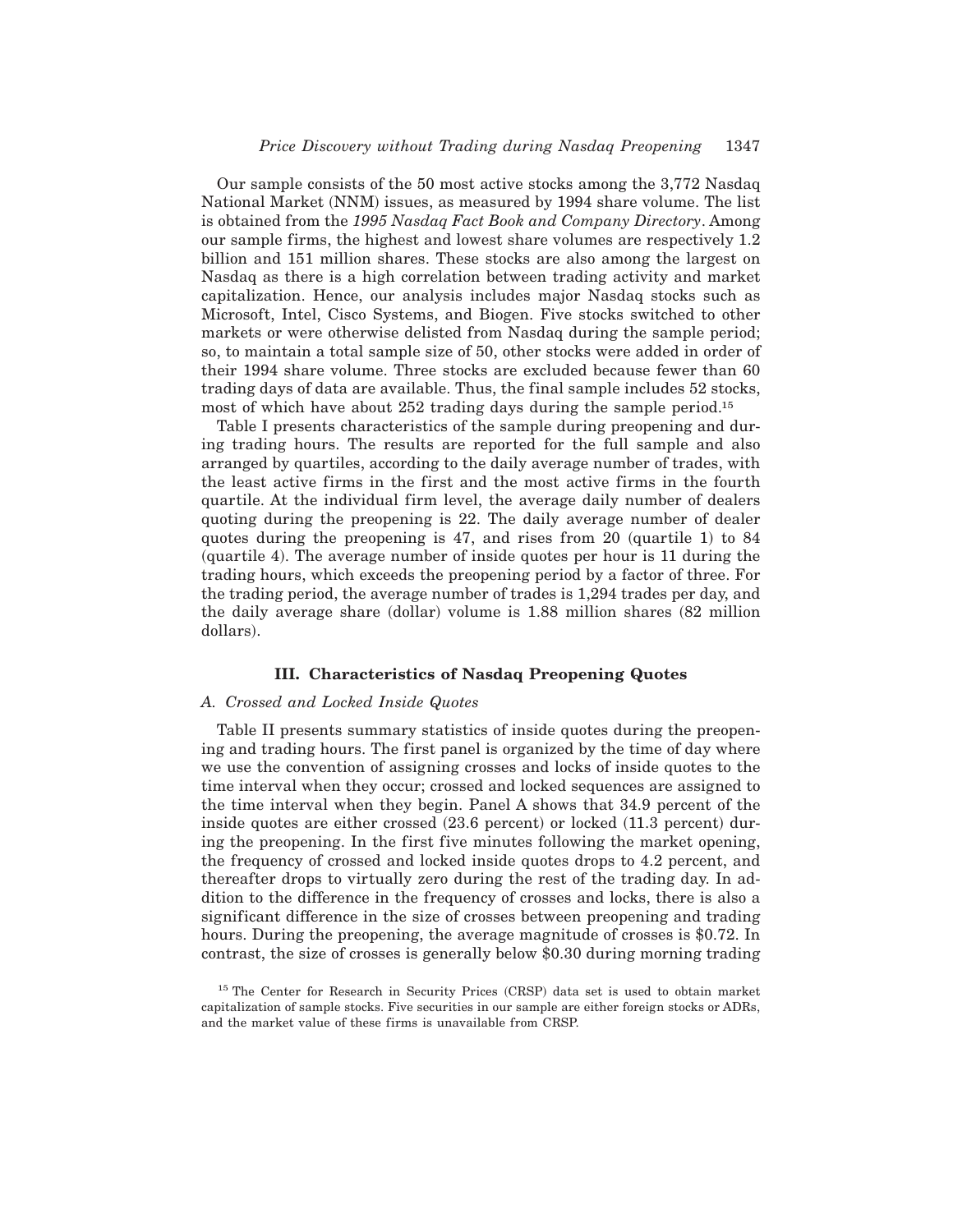Our sample consists of the 50 most active stocks among the 3,772 Nasdaq National Market (NNM) issues, as measured by 1994 share volume. The list is obtained from the *1995 Nasdaq Fact Book and Company Directory*. Among our sample firms, the highest and lowest share volumes are respectively 1.2 billion and 151 million shares. These stocks are also among the largest on Nasdaq as there is a high correlation between trading activity and market capitalization. Hence, our analysis includes major Nasdaq stocks such as Microsoft, Intel, Cisco Systems, and Biogen. Five stocks switched to other markets or were otherwise delisted from Nasdaq during the sample period; so, to maintain a total sample size of 50, other stocks were added in order of their 1994 share volume. Three stocks are excluded because fewer than 60 trading days of data are available. Thus, the final sample includes 52 stocks, most of which have about 252 trading days during the sample period.15

Table I presents characteristics of the sample during preopening and during trading hours. The results are reported for the full sample and also arranged by quartiles, according to the daily average number of trades, with the least active firms in the first and the most active firms in the fourth quartile. At the individual firm level, the average daily number of dealers quoting during the preopening is 22. The daily average number of dealer quotes during the preopening is 47, and rises from  $20$  (quartile 1) to 84  $\alpha$  (quartile 4). The average number of inside quotes per hour is 11 during the trading hours, which exceeds the preopening period by a factor of three. For the trading period, the average number of trades is 1,294 trades per day, and the daily average share  $(dollar)$  volume is 1.88 million shares  $(82 \text{ million})$ dollars).

### **III. Characteristics of Nasdaq Preopening Quotes**

## *A. Crossed and Locked Inside Quotes*

Table II presents summary statistics of inside quotes during the preopening and trading hours. The first panel is organized by the time of day where we use the convention of assigning crosses and locks of inside quotes to the time interval when they occur; crossed and locked sequences are assigned to the time interval when they begin. Panel A shows that 34.9 percent of the inside quotes are either crossed  $(23.6$  percent) or locked  $(11.3$  percent) during the preopening. In the first five minutes following the market opening, the frequency of crossed and locked inside quotes drops to 4.2 percent, and thereafter drops to virtually zero during the rest of the trading day. In addition to the difference in the frequency of crosses and locks, there is also a significant difference in the size of crosses between preopening and trading hours. During the preopening, the average magnitude of crosses is \$0.72. In contrast, the size of crosses is generally below \$0.30 during morning trading

<sup>&</sup>lt;sup>15</sup> The Center for Research in Security Prices (CRSP) data set is used to obtain market capitalization of sample stocks. Five securities in our sample are either foreign stocks or ADRs, and the market value of these firms is unavailable from CRSP.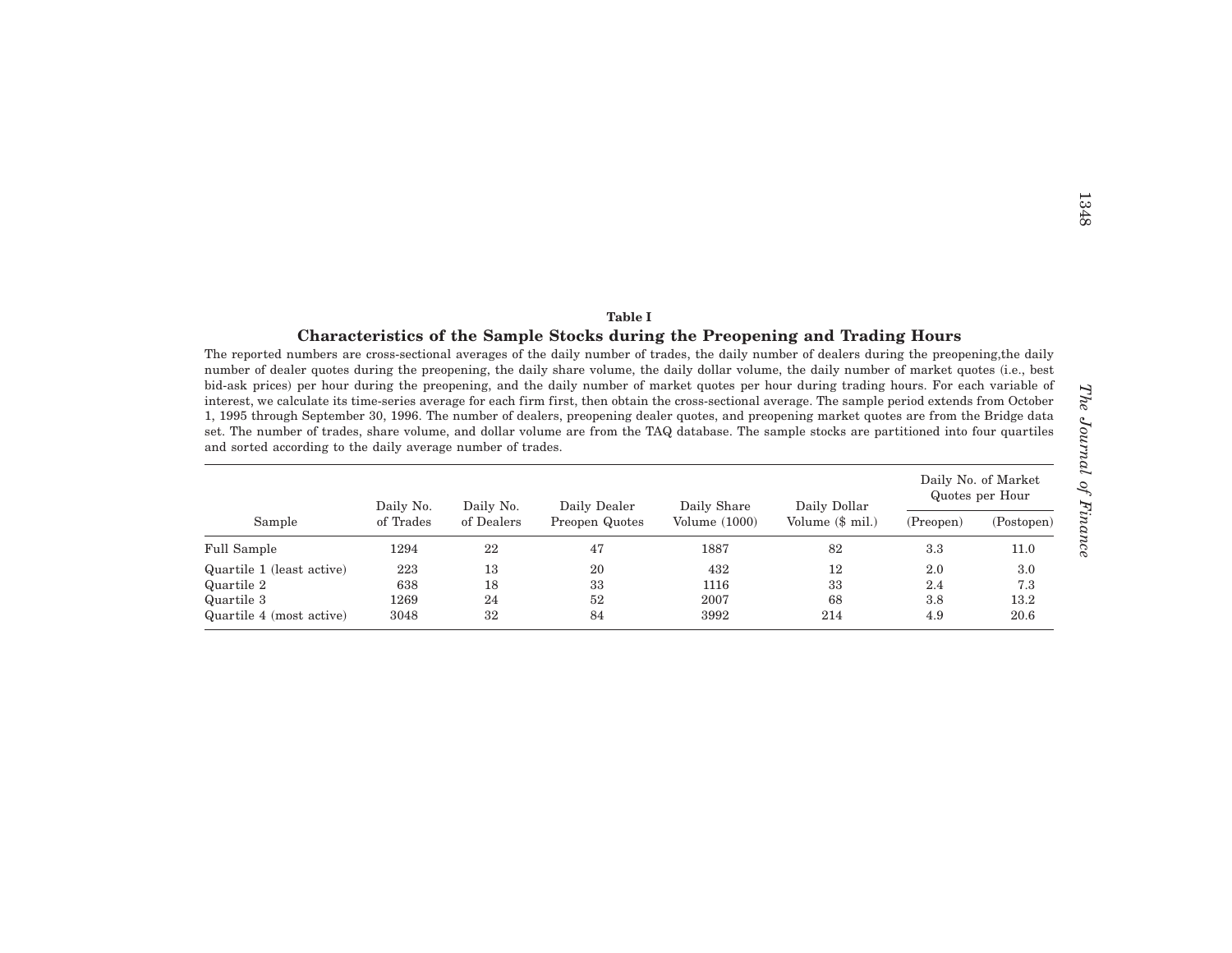## **Table I**

# **Characteristics of the Sample Stocks during the Preopening and Trading Hours**

The reported numbers are cross-sectional averages of the daily number of trades, the daily number of dealers during the preopening,the daily number of dealer quotes during the preopening, the daily share volume, the daily dollar volume, the daily number of market quotes (i.e., best bid-ask prices) per hour during the preopening, and the daily number of market quotes per hour during trading hours. For each variable of interest, we calculate its time-series average for each firm first, then obtain the cross-sectional average. The sample period extends from October 1, 1995 through September 30, 1996. The number of dealers, preopening dealer quotes, and preopening market quotes are from the Bridge data set. The number of trades, share volume, and dollar volume are from the TAQ database. The sample stocks are partitioned into four quartiles and sorted according to the daily average number of trades.

|                           | Daily No. | Daily No.  | Daily Dealer   | Daily Share   | Daily Dollar               | Daily No. of Market<br>Quotes per Hour |            |
|---------------------------|-----------|------------|----------------|---------------|----------------------------|----------------------------------------|------------|
| Sample                    | of Trades | of Dealers | Preopen Quotes | Volume (1000) | Volume $(\$ \text{ mil.})$ | (Preopen)                              | (Postopen) |
| Full Sample               | 1294      | 22         | 47             | 1887          | 82                         | 3.3                                    | 11.0       |
| Quartile 1 (least active) | 223       | 13         | 20             | 432           | 12                         | 2.0                                    | 3.0        |
| Quartile 2                | 638       | 18         | 33             | 1116          | 33                         | 2.4                                    | 7.3        |
| Quartile 3                | 1269      | 24         | 52             | 2007          | 68                         | 3.8                                    | 13.2       |
| Quartile 4 (most active)  | 3048      | 32         | 84             | 3992          | 214                        | 4.9                                    | 20.6       |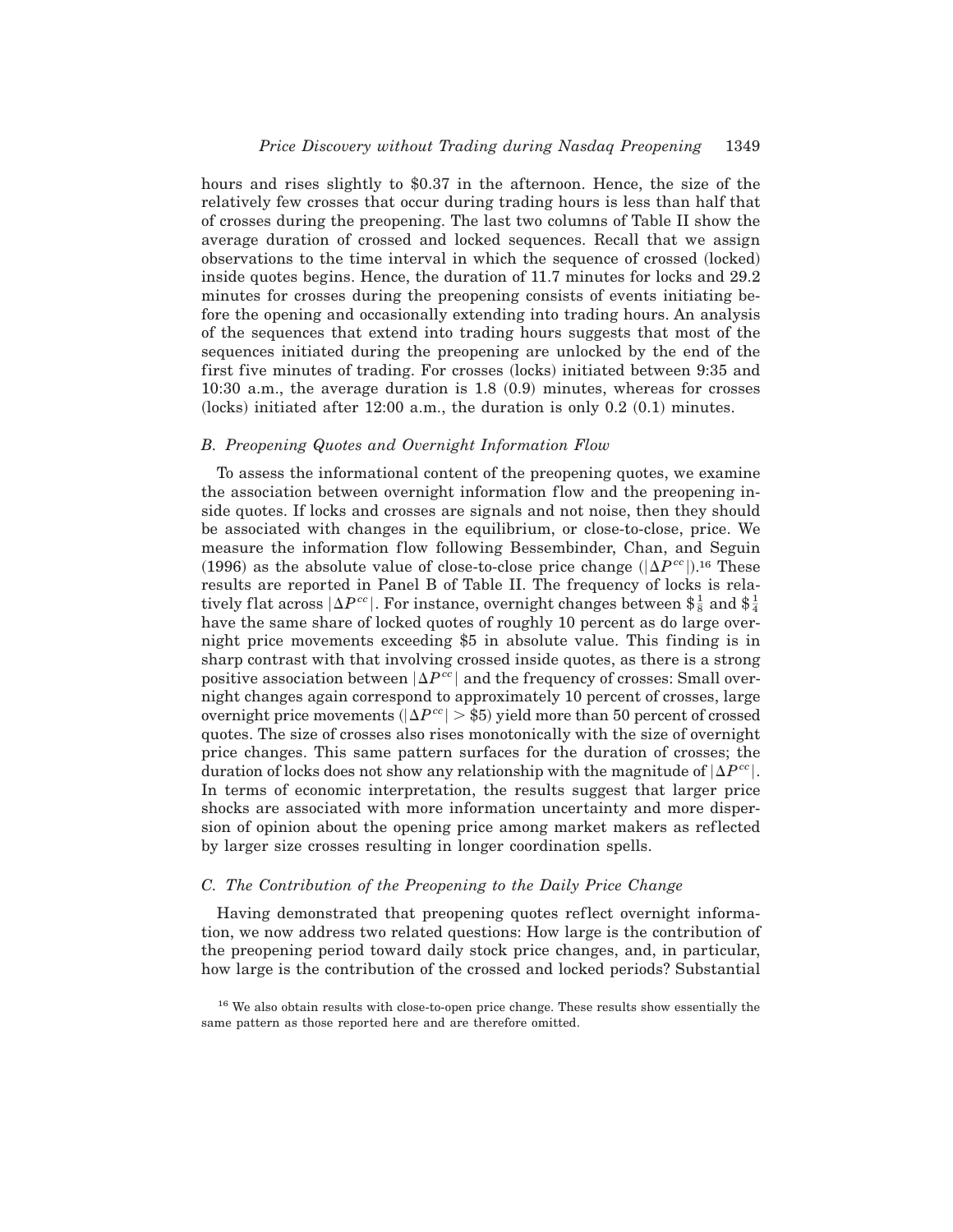hours and rises slightly to \$0.37 in the afternoon. Hence, the size of the relatively few crosses that occur during trading hours is less than half that of crosses during the preopening. The last two columns of Table II show the average duration of crossed and locked sequences. Recall that we assign observations to the time interval in which the sequence of crossed (locked) inside quotes begins. Hence, the duration of 11.7 minutes for locks and 29.2 minutes for crosses during the preopening consists of events initiating before the opening and occasionally extending into trading hours. An analysis of the sequences that extend into trading hours suggests that most of the sequences initiated during the preopening are unlocked by the end of the first five minutes of trading. For crosses (locks) initiated between 9:35 and 10:30 a.m., the average duration is  $1.8$   $(0.9)$  minutes, whereas for crosses  $(locks)$  initiated after 12:00 a.m., the duration is only 0.2  $(0.1)$  minutes.

#### *B. Preopening Quotes and Overnight Information Flow*

To assess the informational content of the preopening quotes, we examine the association between overnight information flow and the preopening inside quotes. If locks and crosses are signals and not noise, then they should be associated with changes in the equilibrium, or close-to-close, price. We measure the information flow following Bessembinder, Chan, and Seguin (1996) as the absolute value of close-to-close price change  $(|\Delta P^{cc}|)^{16}$  These results are reported in Panel B of Table II. The frequency of locks is relatively flat across  $|\Delta P^{cc}|$ . For instance, overnight changes between  $\$_{\frac{1}{8}}^{\frac{1}{2}}$  and  $\$_{\frac{1}{4}}^{\frac{1}{4}}$ have the same share of locked quotes of roughly 10 percent as do large overnight price movements exceeding \$5 in absolute value. This finding is in sharp contrast with that involving crossed inside quotes, as there is a strong positive association between  $|\Delta P^{cc}|$  and the frequency of crosses: Small overnight changes again correspond to approximately 10 percent of crosses, large overnight price movements ( $|\Delta P^{cc}| > $5$ ) yield more than 50 percent of crossed quotes. The size of crosses also rises monotonically with the size of overnight price changes. This same pattern surfaces for the duration of crosses; the duration of locks does not show any relationship with the magnitude of  $\Delta P^{cc}$ . In terms of economic interpretation, the results suggest that larger price shocks are associated with more information uncertainty and more dispersion of opinion about the opening price among market makers as reflected by larger size crosses resulting in longer coordination spells.

### *C. The Contribution of the Preopening to the Daily Price Change*

Having demonstrated that preopening quotes reflect overnight information, we now address two related questions: How large is the contribution of the preopening period toward daily stock price changes, and, in particular, how large is the contribution of the crossed and locked periods? Substantial

<sup>16</sup> We also obtain results with close-to-open price change. These results show essentially the same pattern as those reported here and are therefore omitted.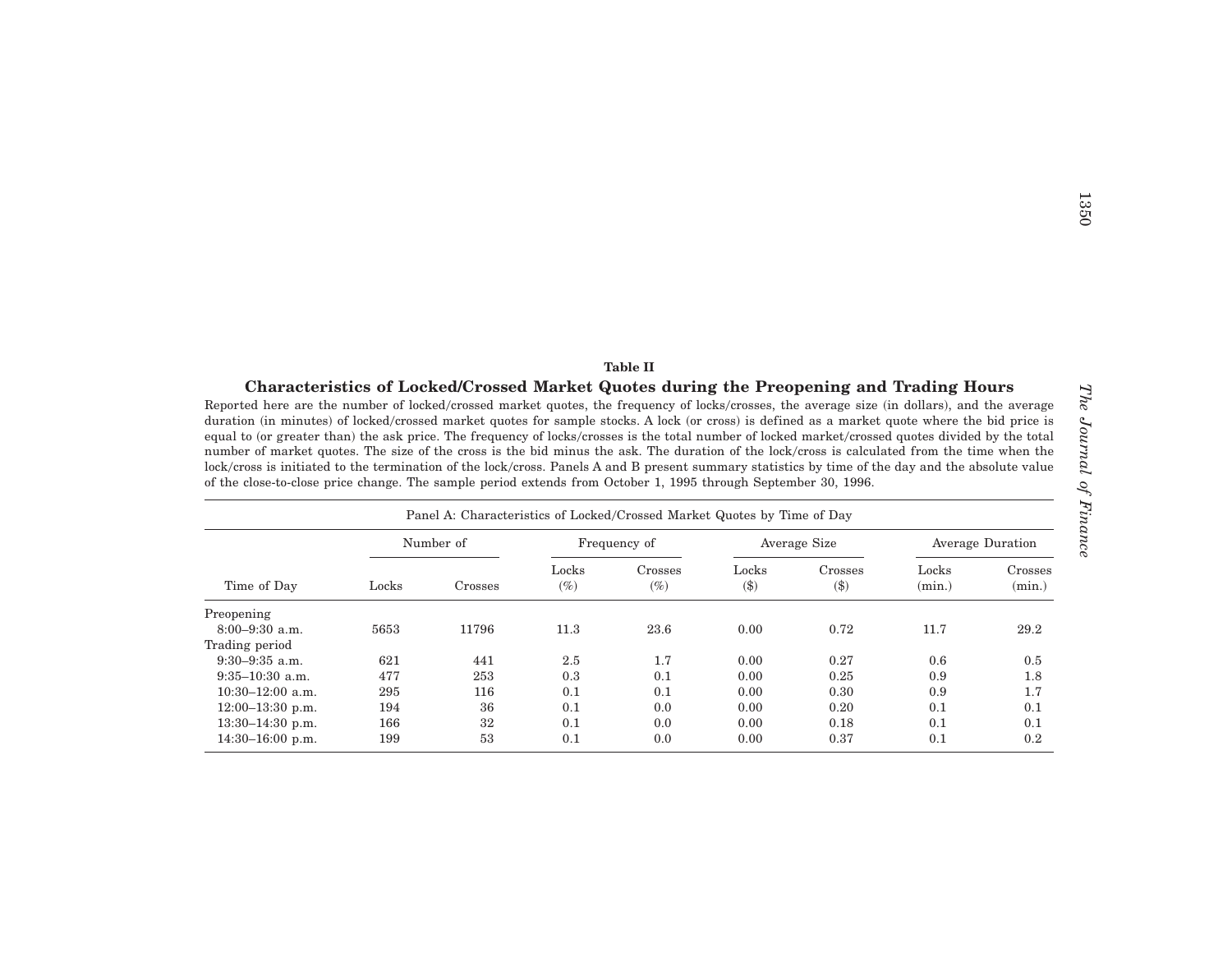#### **Table II**

# Characteristics of Locked/Crossed Market Quotes during the Preopening and Trading Hours

Reported here are the number of locked/crossed market quotes, the frequency of locks/crosses, the average size (in dollars), and the average duration (in minutes) of locked/crossed market quotes for sample stocks. A lock (or cross) is defined as a market quote where the bid price is equal to (or greater than) the ask price. The frequency of locks/crosses is the total number of locked market/crossed quotes divided by the total number of market quotes. The size of the cross is the bid minus the ask. The duration of the lock/cross is calculated from the time when the lock/cross is initiated to the termination of the lock/cross. Panels A and B present summary statistics by time of the day and the absolute value of the close-to-close price change. The sample period extends from October 1, 1995 through September 30, 1996.

| Time of Day        | Number of |         | Frequency of    |                   | Average Size    |                   | Average Duration |                   |
|--------------------|-----------|---------|-----------------|-------------------|-----------------|-------------------|------------------|-------------------|
|                    | Locks     | Crosses | Locks<br>$(\%)$ | Crosses<br>$(\%)$ | Locks<br>$(\$)$ | Crosses<br>$(\$)$ | Locks<br>(min.)  | Crosses<br>(min.) |
| Preopening         |           |         |                 |                   |                 |                   |                  |                   |
| $8:00-9:30$ a.m.   | 5653      | 11796   | 11.3            | 23.6              | 0.00            | 0.72              | 11.7             | 29.2              |
| Trading period     |           |         |                 |                   |                 |                   |                  |                   |
| $9:30-9:35$ a.m.   | 621       | 441     | 2.5             | 1.7               | 0.00            | 0.27              | 0.6              | 0.5               |
| $9:35-10:30$ a.m.  | 477       | 253     | 0.3             | 0.1               | 0.00            | 0.25              | 0.9              | 1.8               |
| $10:30-12:00$ a.m. | 295       | 116     | 0.1             | 0.1               | 0.00            | 0.30              | 0.9              | 1.7               |
| $12:00-13:30$ p.m. | 194       | 36      | 0.1             | 0.0               | 0.00            | 0.20              | 0.1              | 0.1               |
| $13:30-14:30$ p.m. | 166       | 32      | 0.1             | 0.0               | 0.00            | 0.18              | 0.1              | 0.1               |
| 14:30-16:00 p.m.   | 199       | 53      | 0.1             | 0.0               | 0.00            | 0.37              | 0.1              | 0.2               |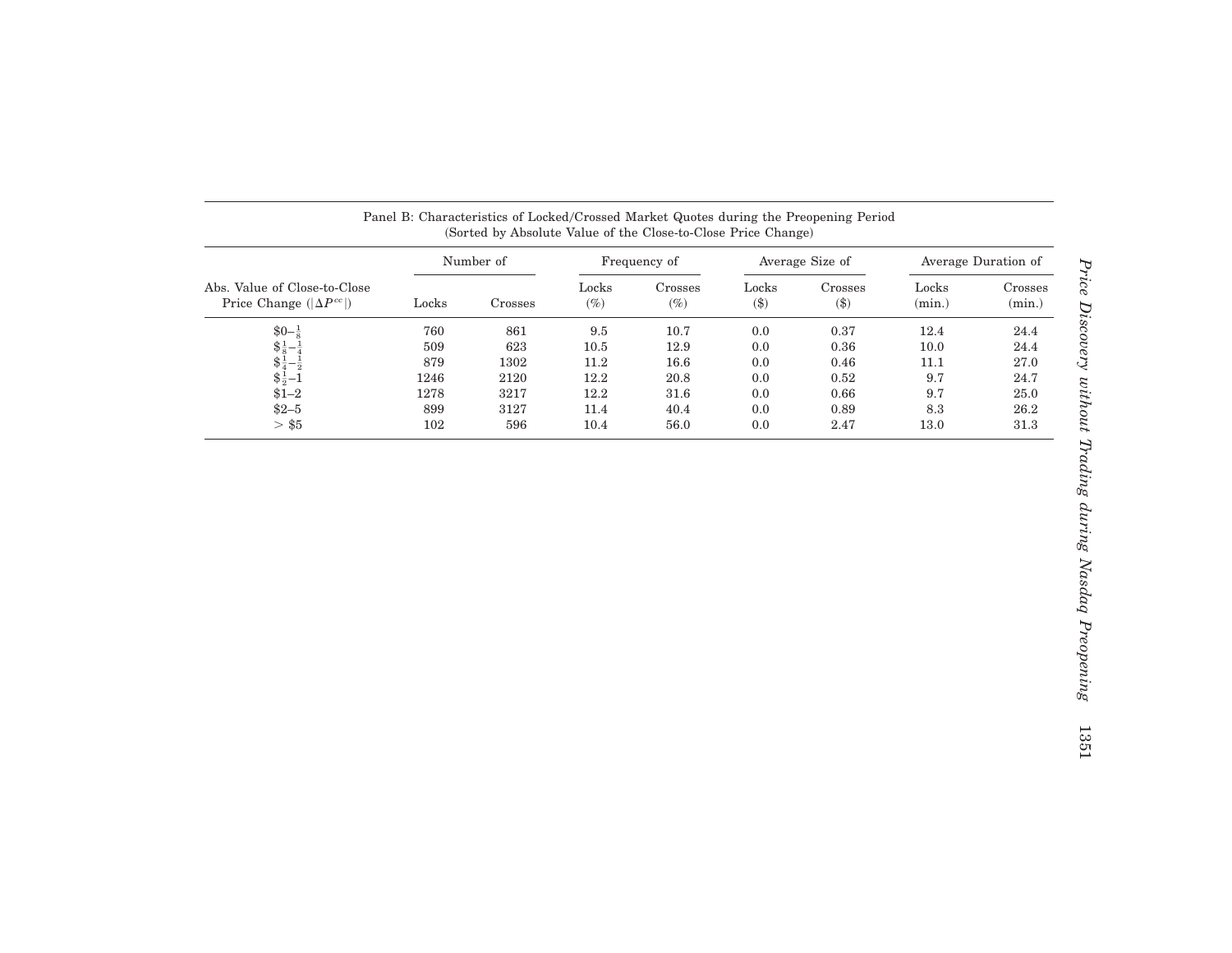|                                                                  | Number of      |         | Frequency of              |                | Average Size of |                   | Average Duration of      |                   |
|------------------------------------------------------------------|----------------|---------|---------------------------|----------------|-----------------|-------------------|--------------------------|-------------------|
| Abs. Value of Close-to-Close<br>Price Change $( \Delta P^{cc} )$ | $_{\rm Locks}$ | Crosses | ${{\rm Locks}}$<br>$(\%)$ | Crosses<br>(%) | Locks<br>$(\$)$ | Crosses<br>$(\$)$ | $_{\rm Locks}$<br>(min.) | Crosses<br>(min.) |
| $$0-\frac{1}{8}$                                                 | 760            | 861     | 9.5                       | 10.7           | 0.0             | 0.37              | 12.4                     | 24.4              |
| $\frac{1}{8} - \frac{1}{4}$                                      | 509            | 623     | 10.5                      | 12.9           | 0.0             | 0.36              | 10.0                     | 24.4              |
| $\frac{1}{4} - \frac{1}{2}$                                      | 879            | 1302    | 11.2                      | 16.6           | 0.0             | 0.46              | 11.1                     | 27.0              |
| $\frac{4}{2} - 1$                                                | 1246           | 2120    | $12.2\,$                  | 20.8           | 0.0             | 0.52              | 9.7                      | 24.7              |
| $$1-2$                                                           | 1278           | 3217    | $12.2\,$                  | 31.6           | 0.0             | 0.66              | 9.7                      | 25.0              |
| $$2 - 5$                                                         | 899            | 3127    | 11.4                      | 40.4           | 0.0             | 0.89              | 8.3                      | 26.2              |
| > \$5                                                            | 102            | 596     | $10.4\,$                  | 56.0           | 0.0             | 2.47              | 13.0                     | 31.3              |

|  | Panel B: Characteristics of Locked/Crossed Market Quotes during the Preopening Period |  |
|--|---------------------------------------------------------------------------------------|--|
|  | (Sorted by Absolute Value of the Close-to-Close Price Change)                         |  |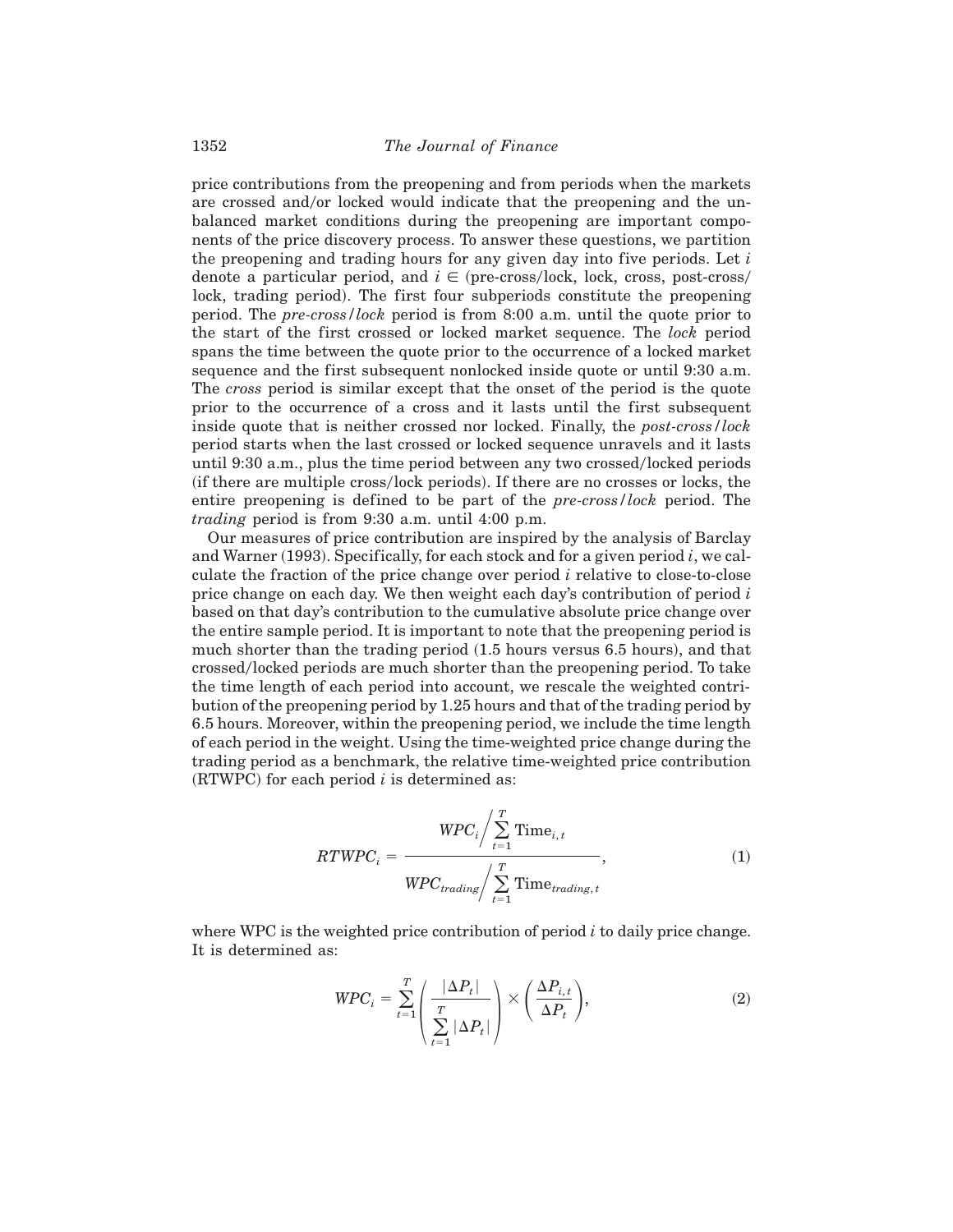price contributions from the preopening and from periods when the markets are crossed and/or locked would indicate that the preopening and the unbalanced market conditions during the preopening are important components of the price discovery process. To answer these questions, we partition the preopening and trading hours for any given day into five periods. Let *i* denote a particular period, and  $i \in (pre-cross/lock, lock, cross, post-cross/$ lock, trading period). The first four subperiods constitute the preopening period. The *pre-cross/lock* period is from 8:00 a.m. until the quote prior to the start of the first crossed or locked market sequence. The *lock* period spans the time between the quote prior to the occurrence of a locked market sequence and the first subsequent nonlocked inside quote or until 9:30 a.m. The *cross* period is similar except that the onset of the period is the quote prior to the occurrence of a cross and it lasts until the first subsequent inside quote that is neither crossed nor locked. Finally, the *post-cross/lock* period starts when the last crossed or locked sequence unravels and it lasts until 9:30 a.m., plus the time period between any two crossed/locked periods (if there are multiple cross/lock periods). If there are no crosses or locks, the entire preopening is defined to be part of the *pre-cross/lock* period. The *trading* period is from 9:30 a.m. until 4:00 p.m.

Our measures of price contribution are inspired by the analysis of Barclay and Warner  $(1993)$ . Specifically, for each stock and for a given period *i*, we calculate the fraction of the price change over period *i* relative to close-to-close price change on each day. We then weight each day's contribution of period *i* based on that day's contribution to the cumulative absolute price change over the entire sample period. It is important to note that the preopening period is much shorter than the trading period  $(1.5$  hours versus 6.5 hours), and that crossed/locked periods are much shorter than the preopening period. To take the time length of each period into account, we rescale the weighted contribution of the preopening period by 1.25 hours and that of the trading period by 6.5 hours. Moreover, within the preopening period, we include the time length of each period in the weight. Using the time-weighted price change during the trading period as a benchmark, the relative time-weighted price contribution  $(RTWPC)$  for each period  $i$  is determined as:

$$
RTWPC_i = \frac{WPC_i / \sum_{t=1}^{T} \text{Time}_{i,t}}{WPC_{trading} / \sum_{t=1}^{T} \text{Time}_{trading,t}},
$$
(1)

where WPC is the weighted price contribution of period *i* to daily price change. It is determined as:

$$
WPC_i = \sum_{t=1}^T \left( \frac{|\Delta P_t|}{\sum_{t=1}^T |\Delta P_t|} \right) \times \left( \frac{\Delta P_{i,t}}{\Delta P_t} \right),\tag{2}
$$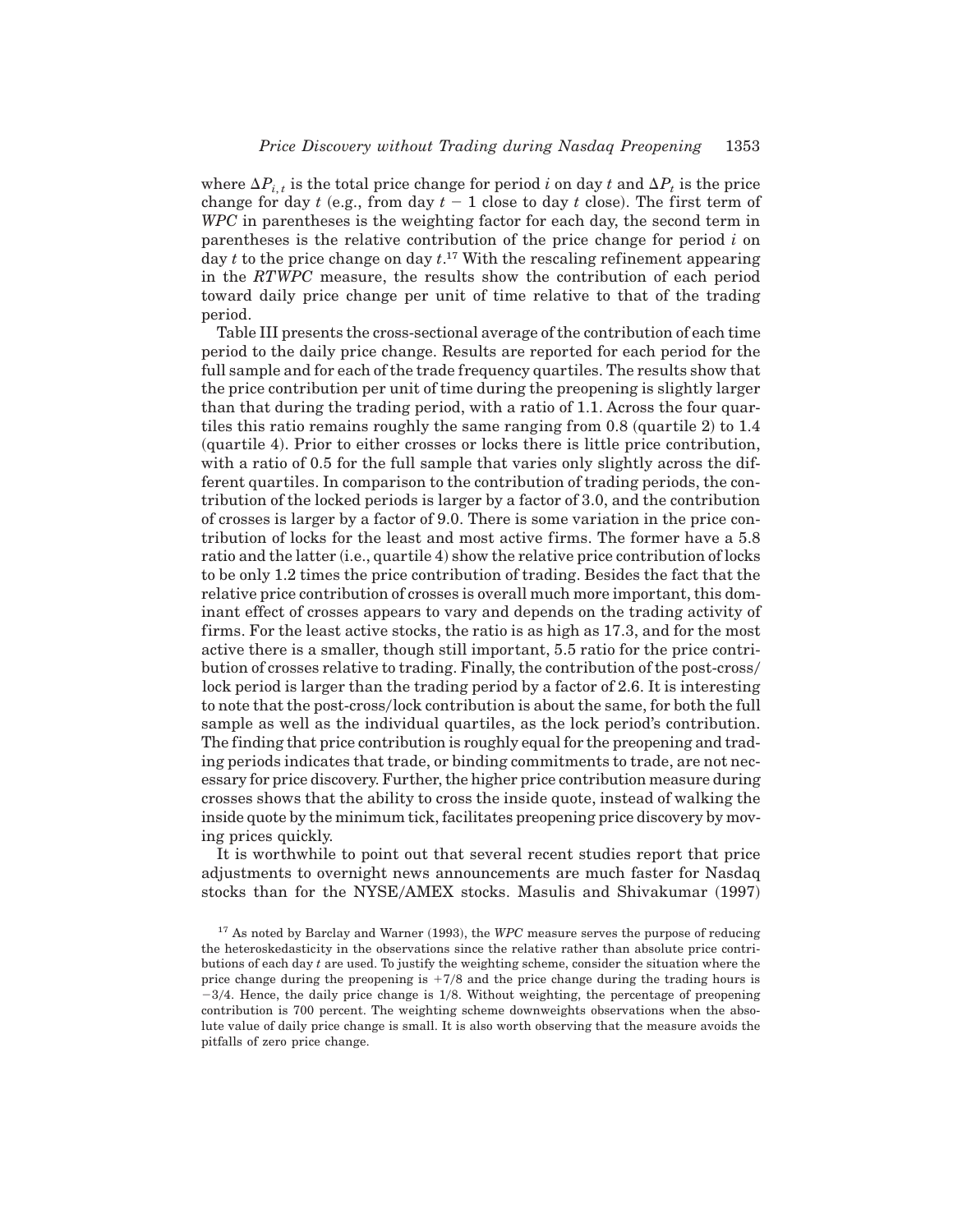where  $\Delta P_i$  is the total price change for period *i* on day *t* and  $\Delta P_t$  is the price change for day  $t$  (e.g., from day  $t - 1$  close to day  $t$  close). The first term of *WPC* in parentheses is the weighting factor for each day, the second term in parentheses is the relative contribution of the price change for period *i* on day *t* to the price change on day *t*. <sup>17</sup> With the rescaling refinement appearing in the *RTWPC* measure, the results show the contribution of each period toward daily price change per unit of time relative to that of the trading period.

Table III presents the cross-sectional average of the contribution of each time period to the daily price change. Results are reported for each period for the full sample and for each of the trade frequency quartiles. The results show that the price contribution per unit of time during the preopening is slightly larger than that during the trading period, with a ratio of 1.1. Across the four quartiles this ratio remains roughly the same ranging from  $0.8$  (quartile 2) to 1.4  $\alpha$  (quartile 4). Prior to either crosses or locks there is little price contribution, with a ratio of 0.5 for the full sample that varies only slightly across the different quartiles. In comparison to the contribution of trading periods, the contribution of the locked periods is larger by a factor of 3.0, and the contribution of crosses is larger by a factor of 9.0. There is some variation in the price contribution of locks for the least and most active firms. The former have a 5.8 ratio and the latter  $(i.e.,$  quartile 4) show the relative price contribution of locks to be only 1.2 times the price contribution of trading. Besides the fact that the relative price contribution of crosses is overall much more important, this dominant effect of crosses appears to vary and depends on the trading activity of firms. For the least active stocks, the ratio is as high as 17.3, and for the most active there is a smaller, though still important, 5.5 ratio for the price contribution of crosses relative to trading. Finally, the contribution of the post-cross/ lock period is larger than the trading period by a factor of 2.6. It is interesting to note that the post-cross/lock contribution is about the same, for both the full sample as well as the individual quartiles, as the lock period's contribution. The finding that price contribution is roughly equal for the preopening and trading periods indicates that trade, or binding commitments to trade, are not necessary for price discovery. Further, the higher price contribution measure during crosses shows that the ability to cross the inside quote, instead of walking the inside quote by the minimum tick, facilitates preopening price discovery by moving prices quickly.

It is worthwhile to point out that several recent studies report that price adjustments to overnight news announcements are much faster for Nasdaq stocks than for the NYSE/AMEX stocks. Masulis and Shivakumar (1997)

<sup>&</sup>lt;sup>17</sup> As noted by Barclay and Warner (1993), the *WPC* measure serves the purpose of reducing the heteroskedasticity in the observations since the relative rather than absolute price contributions of each day *t* are used. To justify the weighting scheme, consider the situation where the price change during the preopening is  $+7/8$  and the price change during the trading hours is  $-3/4$ . Hence, the daily price change is 1/8. Without weighting, the percentage of preopening contribution is 700 percent. The weighting scheme downweights observations when the absolute value of daily price change is small. It is also worth observing that the measure avoids the pitfalls of zero price change.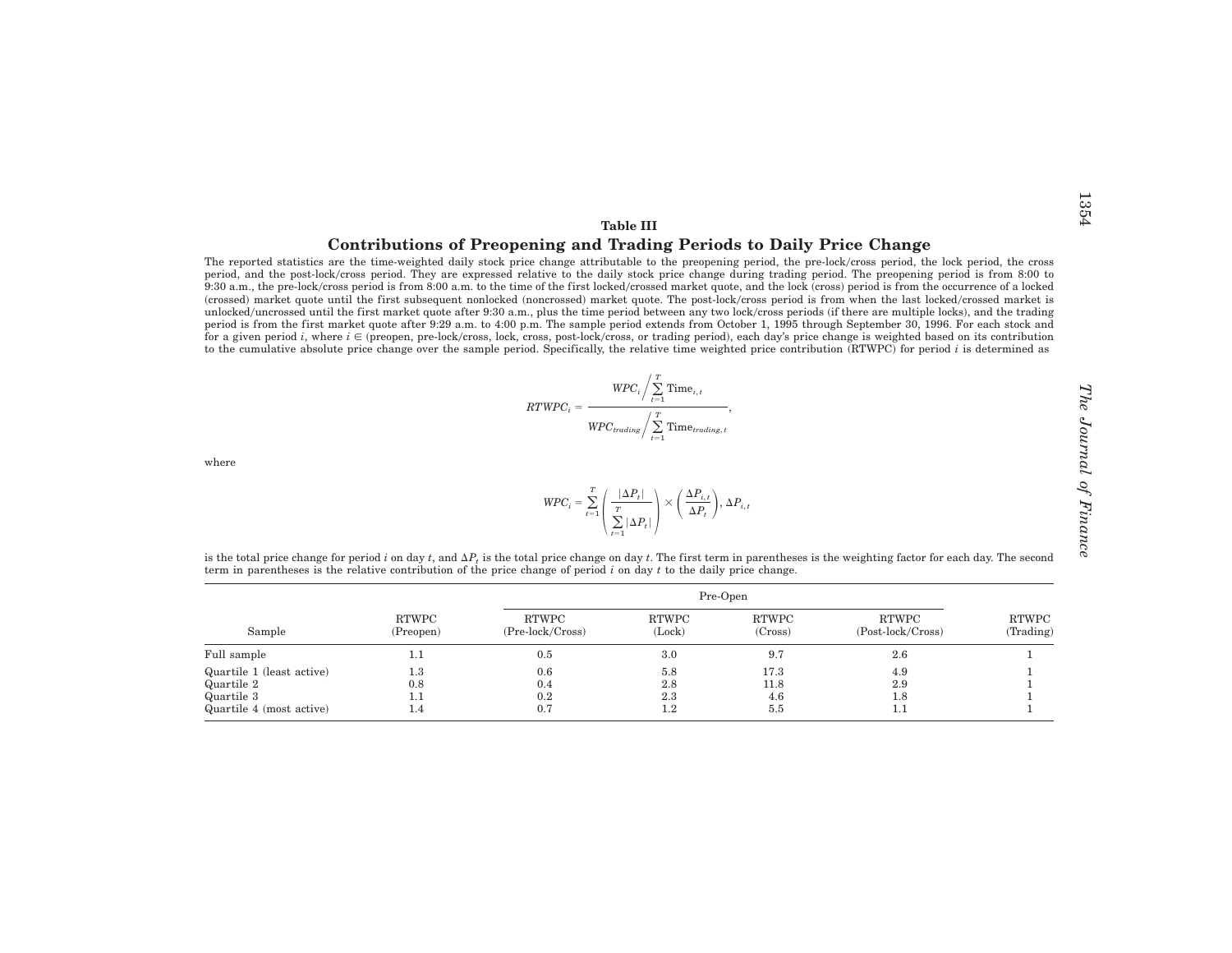### **Table III**

# **Contributions of Preopening and Trading Periods to Daily Price Change**

The reported statistics are the time-weighted daily stock price change attributable to the preopening period, the pre-lock/cross period, the lock period, the cross period, and the post-lock/cross period. They are expressed relative to the daily stock price change during trading period. The preopening period is from 8:00 to 9:30 a.m., the pre-lock/cross period is from 8:00 a.m. to the time of the first locked/crossed market quote, and the lock (cross) period is from the occurrence of a locked (crossed) market quote until the first subsequent nonlocked (noncrossed) market quote. The post-lock/cross period is from when the last locked/crossed market is unlocked/uncrossed until the first market quote after 9:30 a.m., plus the time period between any two lock/cross periods (if there are multiple locks), and the trading period is from the first market quote after 9:29 a.m. to 4:00 p.m. The sample period extends from October 1, 1995 through September 30, 1996. For each stock and for a given period *i*, where  $i \in ($ preopen, pre-lock/cross, lock, cross, post-lock/cross, or trading period), each day's price change is weighted based on its contribution to the cumulative absolute price change over the sample period. Specifically, the relative time weighted price contribution (RTWPC) for period *i* is determined as

$$
RTWPC_i = \frac{WPC_i / \sum_{t=1}^{T} \text{Time}_{i,t}}{WPC_{trading} / \sum_{t=1}^{T} \text{Time}_{trading,t}},
$$

where

$$
WPC_i = \sum_{t=1}^T \left( \frac{|\Delta P_t|}{\sum_{t=1}^T |\Delta P_t|} \right) \times \left( \frac{\Delta P_{i,t}}{\Delta P_t} \right), \Delta P_{i,t}
$$

is the total price change for period *i* on day *t*, and  $\Delta P_t$  is the total price change on day *t*. The first term in parentheses is the weighting factor for each day. The second term in parentheses is the relative contribution of the price change of period *i* on day *<sup>t</sup>* to the daily price change.

| Sample                                  | Pre-Open                  |                                  |                 |                  |                            |                    |  |
|-----------------------------------------|---------------------------|----------------------------------|-----------------|------------------|----------------------------|--------------------|--|
|                                         | <b>RTWPC</b><br>(Preopen) | <b>RTWPC</b><br>(Pre-lock/Cross) | RTWPC<br>(Lock) | RTWPC<br>(Cross) | RTWPC<br>(Post-lock/Cross) | RTWPC<br>(Trading) |  |
| Full sample                             | 1.1                       | 0.5                              | 3.0             | 9.7              | 2.6                        |                    |  |
| Quartile 1 (least active)<br>Quartile 2 | 1.3<br>0.8                | 0.6<br>0.4                       | 5.8<br>2.8      | 17.3<br>11.8     | 4.9<br>2.9                 |                    |  |
| Quartile 3<br>Quartile 4 (most active)  | 1.1<br>1.4                | 0.2<br>0.7                       | 2.3<br>$1.2\,$  | 4.6<br>5.5       | $1.8\phantom{0}$<br>1.1    |                    |  |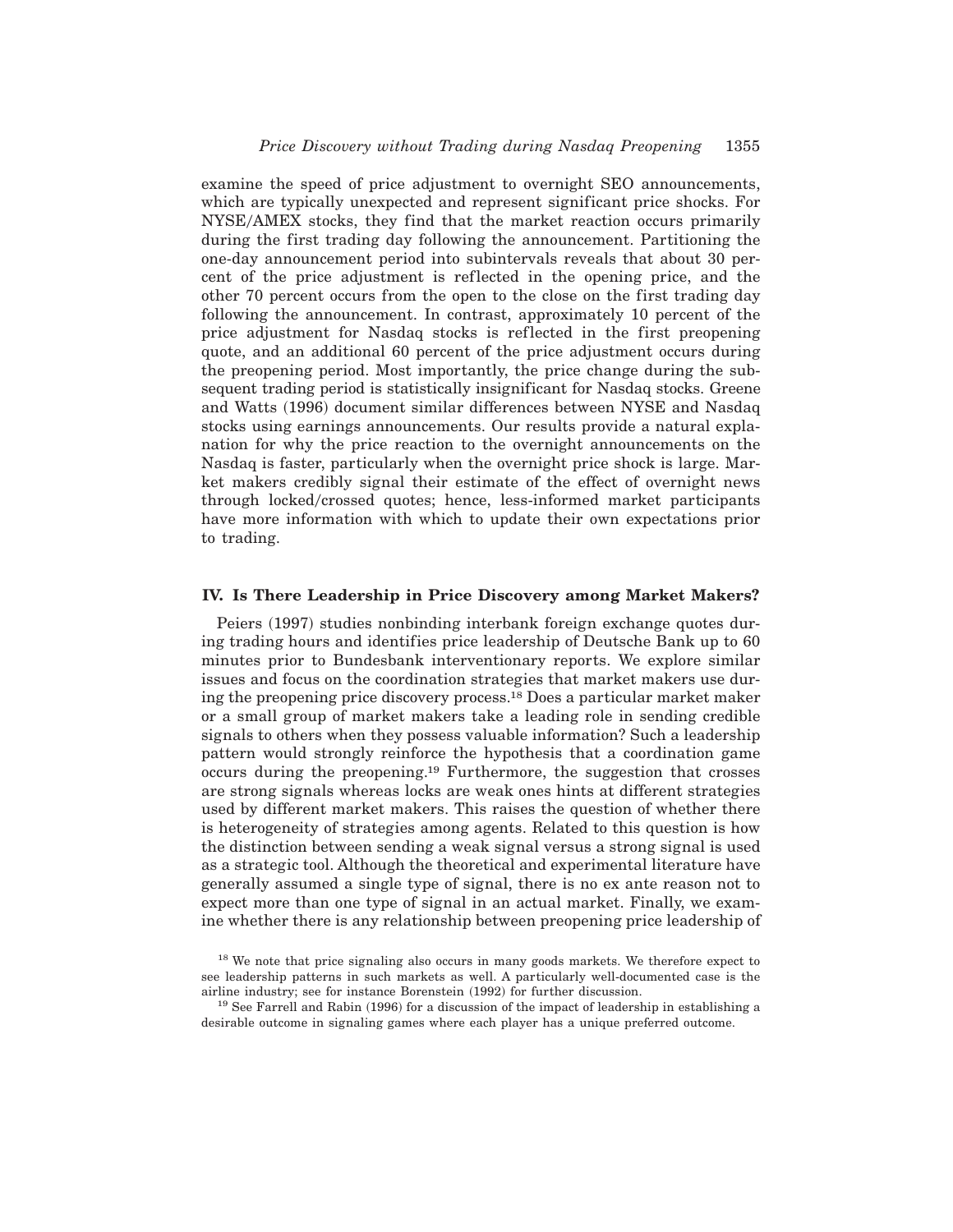examine the speed of price adjustment to overnight SEO announcements, which are typically unexpected and represent significant price shocks. For NYSE/AMEX stocks, they find that the market reaction occurs primarily during the first trading day following the announcement. Partitioning the one-day announcement period into subintervals reveals that about 30 percent of the price adjustment is reflected in the opening price, and the other 70 percent occurs from the open to the close on the first trading day following the announcement. In contrast, approximately 10 percent of the price adjustment for Nasdaq stocks is reflected in the first preopening quote, and an additional 60 percent of the price adjustment occurs during the preopening period. Most importantly, the price change during the subsequent trading period is statistically insignificant for Nasdaq stocks. Greene and Watts (1996) document similar differences between NYSE and Nasdaq stocks using earnings announcements. Our results provide a natural explanation for why the price reaction to the overnight announcements on the Nasdaq is faster, particularly when the overnight price shock is large. Market makers credibly signal their estimate of the effect of overnight news through locked/crossed quotes; hence, less-informed market participants have more information with which to update their own expectations prior to trading.

### **IV. Is There Leadership in Price Discovery among Market Makers?**

Peiers (1997) studies nonbinding interbank foreign exchange quotes during trading hours and identifies price leadership of Deutsche Bank up to 60 minutes prior to Bundesbank interventionary reports. We explore similar issues and focus on the coordination strategies that market makers use during the preopening price discovery process.18 Does a particular market maker or a small group of market makers take a leading role in sending credible signals to others when they possess valuable information? Such a leadership pattern would strongly reinforce the hypothesis that a coordination game occurs during the preopening.19 Furthermore, the suggestion that crosses are strong signals whereas locks are weak ones hints at different strategies used by different market makers. This raises the question of whether there is heterogeneity of strategies among agents. Related to this question is how the distinction between sending a weak signal versus a strong signal is used as a strategic tool. Although the theoretical and experimental literature have generally assumed a single type of signal, there is no ex ante reason not to expect more than one type of signal in an actual market. Finally, we examine whether there is any relationship between preopening price leadership of

 $19$  See Farrell and Rabin  $(1996)$  for a discussion of the impact of leadership in establishing a desirable outcome in signaling games where each player has a unique preferred outcome.

<sup>&</sup>lt;sup>18</sup> We note that price signaling also occurs in many goods markets. We therefore expect to see leadership patterns in such markets as well. A particularly well-documented case is the airline industry; see for instance Borenstein  $(1992)$  for further discussion.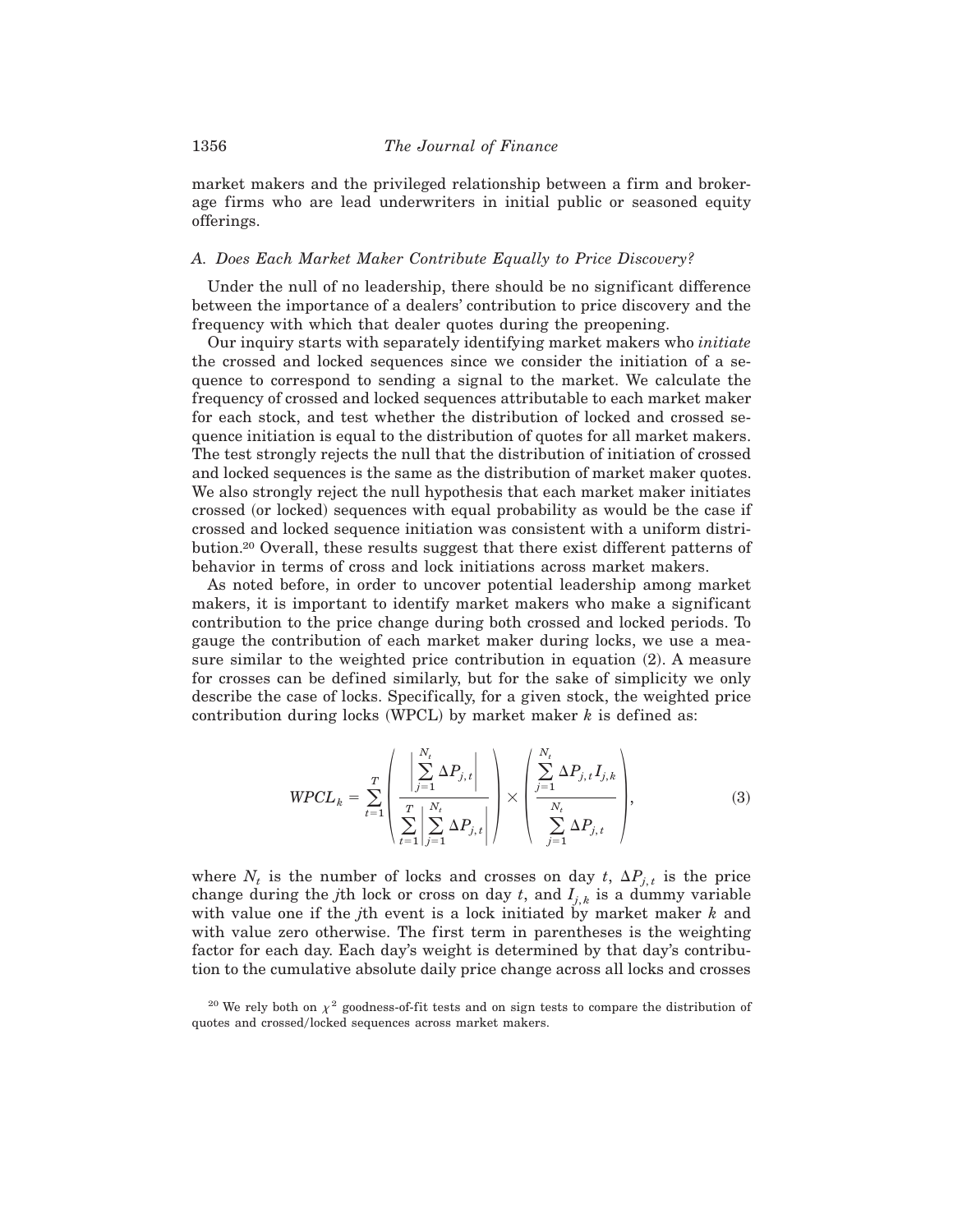market makers and the privileged relationship between a firm and brokerage firms who are lead underwriters in initial public or seasoned equity offerings.

### *A. Does Each Market Maker Contribute Equally to Price Discovery?*

Under the null of no leadership, there should be no significant difference between the importance of a dealers' contribution to price discovery and the frequency with which that dealer quotes during the preopening.

Our inquiry starts with separately identifying market makers who *initiate* the crossed and locked sequences since we consider the initiation of a sequence to correspond to sending a signal to the market. We calculate the frequency of crossed and locked sequences attributable to each market maker for each stock, and test whether the distribution of locked and crossed sequence initiation is equal to the distribution of quotes for all market makers. The test strongly rejects the null that the distribution of initiation of crossed and locked sequences is the same as the distribution of market maker quotes. We also strongly reject the null hypothesis that each market maker initiates crossed (or locked) sequences with equal probability as would be the case if crossed and locked sequence initiation was consistent with a uniform distribution.20 Overall, these results suggest that there exist different patterns of behavior in terms of cross and lock initiations across market makers.

As noted before, in order to uncover potential leadership among market makers, it is important to identify market makers who make a significant contribution to the price change during both crossed and locked periods. To gauge the contribution of each market maker during locks, we use a measure similar to the weighted price contribution in equation  $(2)$ . A measure for crosses can be defined similarly, but for the sake of simplicity we only describe the case of locks. Specifically, for a given stock, the weighted price contribution during locks (WPCL) by market maker  $k$  is defined as:

$$
W P C L_k = \sum_{t=1}^T \left( \frac{\left| \sum_{j=1}^{N_t} \Delta P_{j,t} \right|}{\sum_{t=1}^T \left| \sum_{j=1}^{N_t} \Delta P_{j,t} \right|} \right) \times \left( \frac{\sum_{j=1}^{N_t} \Delta P_{j,t} I_{j,k}}{\sum_{j=1}^{N_t} \Delta P_{j,t}} \right), \tag{3}
$$

where  $N_t$  is the number of locks and crosses on day *t*,  $\Delta P_{j,t}$  is the price change during the *j*th lock or cross on day  $t$ , and  $I_{j,k}$  is a dummy variable with value one if the *j*th event is a lock initiated by market maker *k* and with value zero otherwise. The first term in parentheses is the weighting factor for each day. Each day's weight is determined by that day's contribution to the cumulative absolute daily price change across all locks and crosses

<sup>20</sup> We rely both on  $\chi^2$  goodness-of-fit tests and on sign tests to compare the distribution of quotes and crossed/locked sequences across market makers.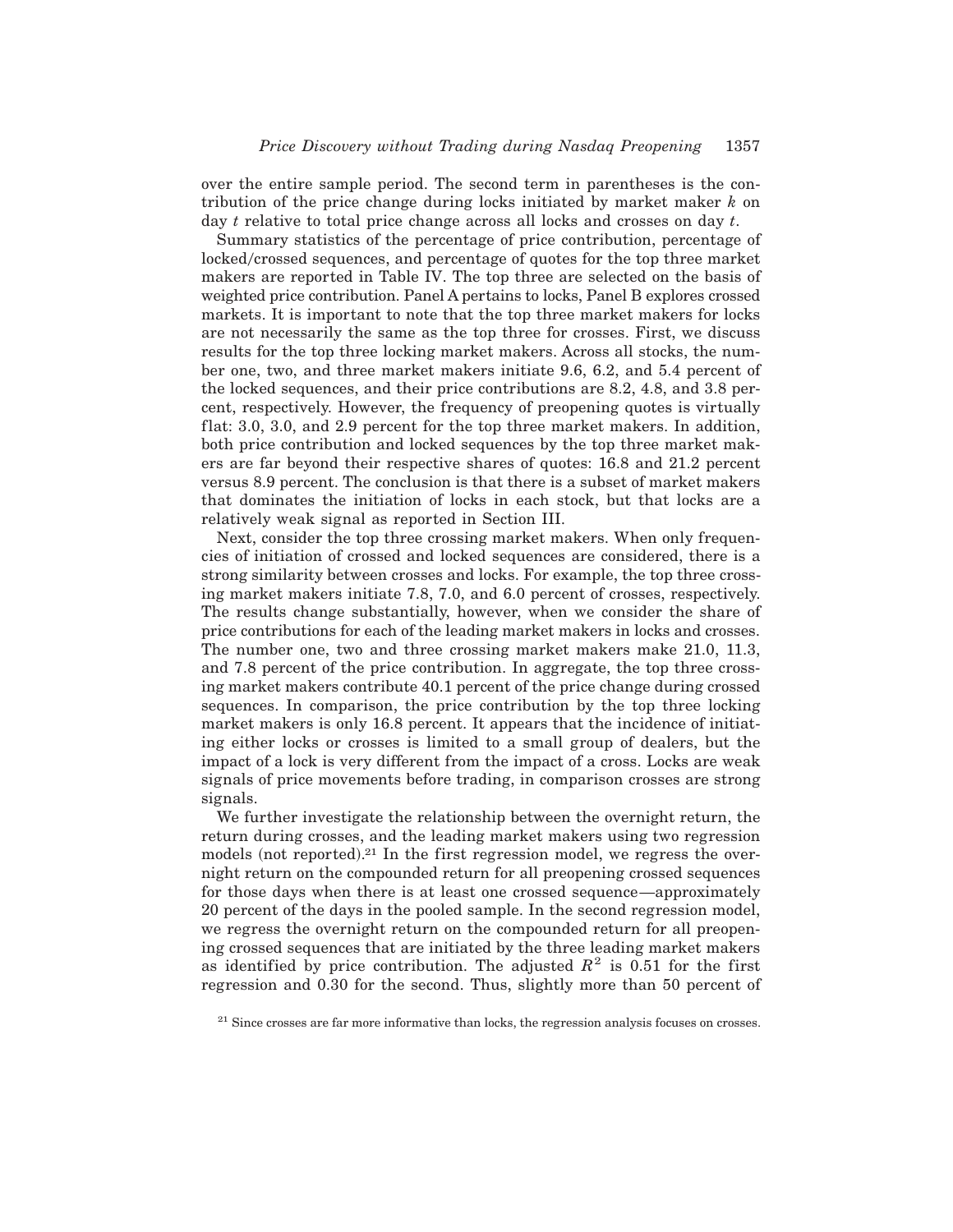over the entire sample period. The second term in parentheses is the contribution of the price change during locks initiated by market maker *k* on day *t* relative to total price change across all locks and crosses on day *t*.

Summary statistics of the percentage of price contribution, percentage of locked/crossed sequences, and percentage of quotes for the top three market makers are reported in Table IV. The top three are selected on the basis of weighted price contribution. Panel A pertains to locks, Panel B explores crossed markets. It is important to note that the top three market makers for locks are not necessarily the same as the top three for crosses. First, we discuss results for the top three locking market makers. Across all stocks, the number one, two, and three market makers initiate 9.6, 6.2, and 5.4 percent of the locked sequences, and their price contributions are 8.2, 4.8, and 3.8 percent, respectively. However, the frequency of preopening quotes is virtually flat: 3.0, 3.0, and 2.9 percent for the top three market makers. In addition, both price contribution and locked sequences by the top three market makers are far beyond their respective shares of quotes: 16.8 and 21.2 percent versus 8.9 percent. The conclusion is that there is a subset of market makers that dominates the initiation of locks in each stock, but that locks are a relatively weak signal as reported in Section III.

Next, consider the top three crossing market makers. When only frequencies of initiation of crossed and locked sequences are considered, there is a strong similarity between crosses and locks. For example, the top three crossing market makers initiate 7.8, 7.0, and 6.0 percent of crosses, respectively. The results change substantially, however, when we consider the share of price contributions for each of the leading market makers in locks and crosses. The number one, two and three crossing market makers make 21.0, 11.3, and 7.8 percent of the price contribution. In aggregate, the top three crossing market makers contribute 40.1 percent of the price change during crossed sequences. In comparison, the price contribution by the top three locking market makers is only 16.8 percent. It appears that the incidence of initiating either locks or crosses is limited to a small group of dealers, but the impact of a lock is very different from the impact of a cross. Locks are weak signals of price movements before trading, in comparison crosses are strong signals.

We further investigate the relationship between the overnight return, the return during crosses, and the leading market makers using two regression models (not reported).<sup>21</sup> In the first regression model, we regress the overnight return on the compounded return for all preopening crossed sequences for those days when there is at least one crossed sequence—approximately 20 percent of the days in the pooled sample. In the second regression model, we regress the overnight return on the compounded return for all preopening crossed sequences that are initiated by the three leading market makers as identified by price contribution. The adjusted  $R^2$  is 0.51 for the first regression and 0.30 for the second. Thus, slightly more than 50 percent of

 $^{21}$  Since crosses are far more informative than locks, the regression analysis focuses on crosses.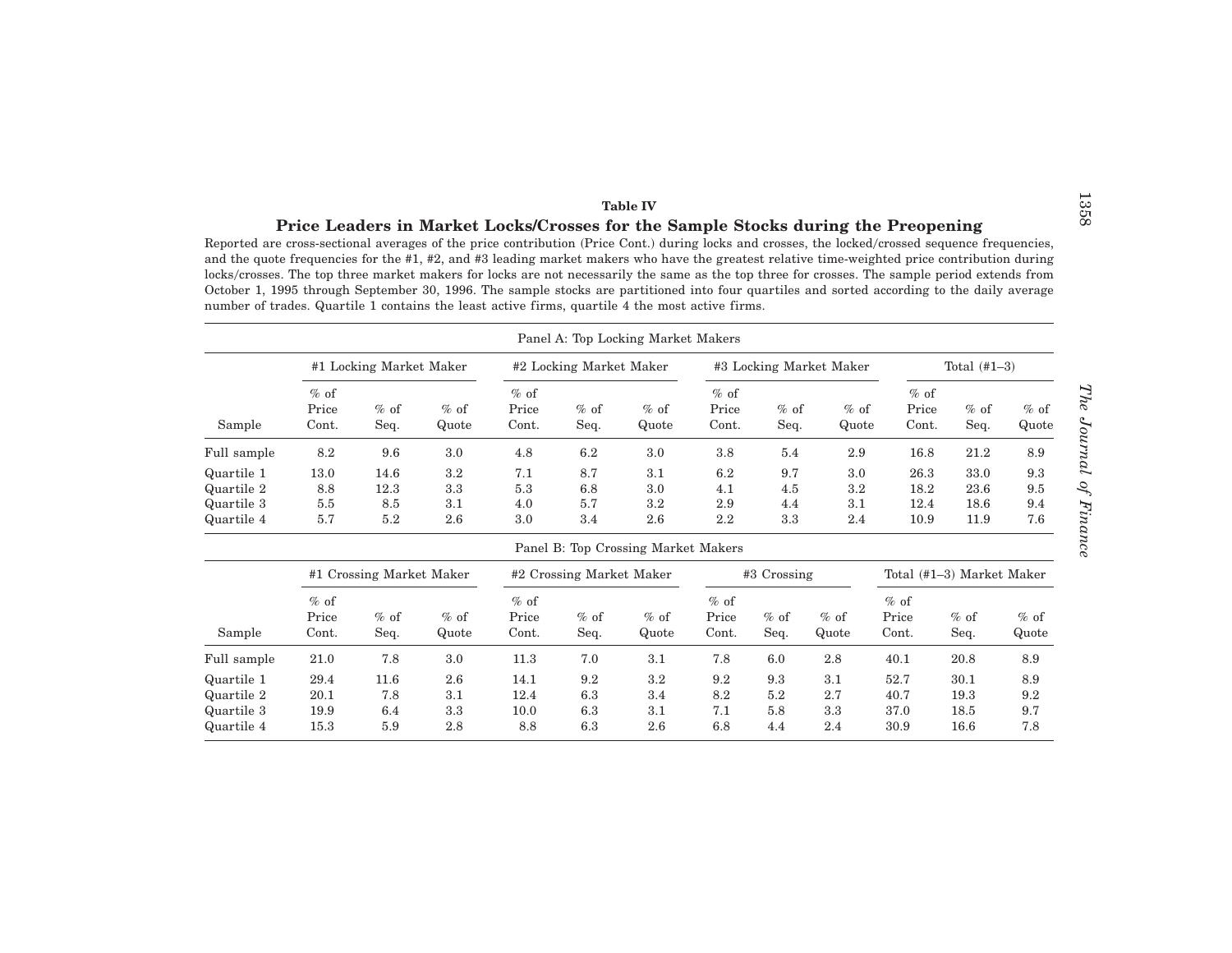#### **Table IV**

# Price Leaders in Market Locks/Crosses for the Sample Stocks during the Preopening

Reported are cross-sectional averages of the price contribution (Price Cont.) during locks and crosses, the locked/crossed sequence frequencies, and the quote frequencies for the #1, #2, and #3 leading market makers who have the greatest relative time-weighted price contribution during locks/crosses. The top three market makers for locks are not necessarily the same as the top three for crosses. The sample period extends from October 1, 1995 through September 30, 1996. The sample stocks are partitioned into four quartiles and sorted according to the daily average number of trades. Quartile 1 contains the least active firms, quartile 4 the most active firms.

|                                        |                          |                          |                   |                          |                          | Panel A: Top Locking Market Makers  |                          |                   |                   |                           |                      |                   |
|----------------------------------------|--------------------------|--------------------------|-------------------|--------------------------|--------------------------|-------------------------------------|--------------------------|-------------------|-------------------|---------------------------|----------------------|-------------------|
|                                        | #1 Locking Market Maker  |                          |                   | #2 Locking Market Maker  |                          |                                     | #3 Locking Market Maker  |                   |                   | Total $(+1-3)$            |                      |                   |
| Sample                                 | $%$ of<br>Price<br>Cont. | $%$ of<br>Seq.           | $%$ of<br>Quote   | $%$ of<br>Price<br>Cont. | $%$ of<br>Seq.           | $%$ of<br>Quote                     | $%$ of<br>Price<br>Cont. | $%$ of<br>Seq.    | $%$ of<br>Quote   | $%$ of<br>Price<br>Cont.  | $%$ of<br>Seq.       | $%$ of<br>Quote   |
| Full sample                            | 8.2                      | 9.6                      | $3.0\,$           | 4.8                      | 6.2                      | 3.0                                 | 3.8                      | 5.4               | 2.9               | 16.8                      | 21.2                 | 8.9               |
| Quartile 1<br>Quartile 2               | 13.0<br>8.8              | 14.6<br>12.3             | $3.2\,$<br>3.3    | 7.1<br>5.3               | 8.7<br>6.8               | 3.1<br>3.0                          | 6.2<br>4.1               | 9.7<br>4.5        | 3.0<br>3.2        | 26.3<br>18.2              | 33.0<br>23.6         | 9.3<br>9.5        |
| Quartile 3<br>Quartile 4               | 5.5<br>5.7               | 8.5<br>5.2               | 3.1<br>2.6        | 4.0<br>3.0               | 5.7<br>3.4               | 3.2<br>2.6                          | 2.9<br>2.2               | 4.4<br>3.3        | 3.1<br>2.4        | 12.4<br>10.9              | 18.6<br>11.9         | 9.4<br>7.6        |
|                                        |                          |                          |                   |                          |                          | Panel B: Top Crossing Market Makers |                          |                   |                   |                           |                      |                   |
|                                        |                          | #1 Crossing Market Maker |                   |                          | #2 Crossing Market Maker |                                     |                          | #3 Crossing       |                   | Total (#1-3) Market Maker |                      |                   |
| Sample                                 | $%$ of<br>Price<br>Cont. | $%$ of<br>Seq.           | $%$ of<br>Quote   | $%$ of<br>Price<br>Cont. | $%$ of<br>Seq.           | $%$ of<br>Quote                     | $%$ of<br>Price<br>Cont. | $%$ of<br>Seq.    | $%$ of<br>Quote   | $%$ of<br>Price<br>Cont.  | $%$ of<br>Seq.       | $%$ of<br>Quote   |
| Full sample                            | 21.0                     | 7.8                      | 3.0               | 11.3                     | 7.0                      | 3.1                                 | 7.8                      | 6.0               | 2.8               | 40.1                      | 20.8                 | 8.9               |
| Quartile 1<br>Quartile 2<br>Quartile 3 | 29.4<br>20.1<br>19.9     | 11.6<br>7.8<br>6.4       | 2.6<br>3.1<br>3.3 | 14.1<br>12.4<br>10.0     | 9.2<br>6.3<br>6.3        | 3.2<br>3.4<br>3.1                   | 9.2<br>8.2<br>7.1        | 9.3<br>5.2<br>5.8 | 3.1<br>2.7<br>3.3 | 52.7<br>40.7<br>37.0      | 30.1<br>19.3<br>18.5 | 8.9<br>9.2<br>9.7 |
| Quartile 4                             | 15.3                     | 5.9                      | 2.8               | 8.8                      | 6.3                      | 2.6                                 | 6.8                      | 4.4               | 2.4               | 30.9                      | 16.6                 | 7.8               |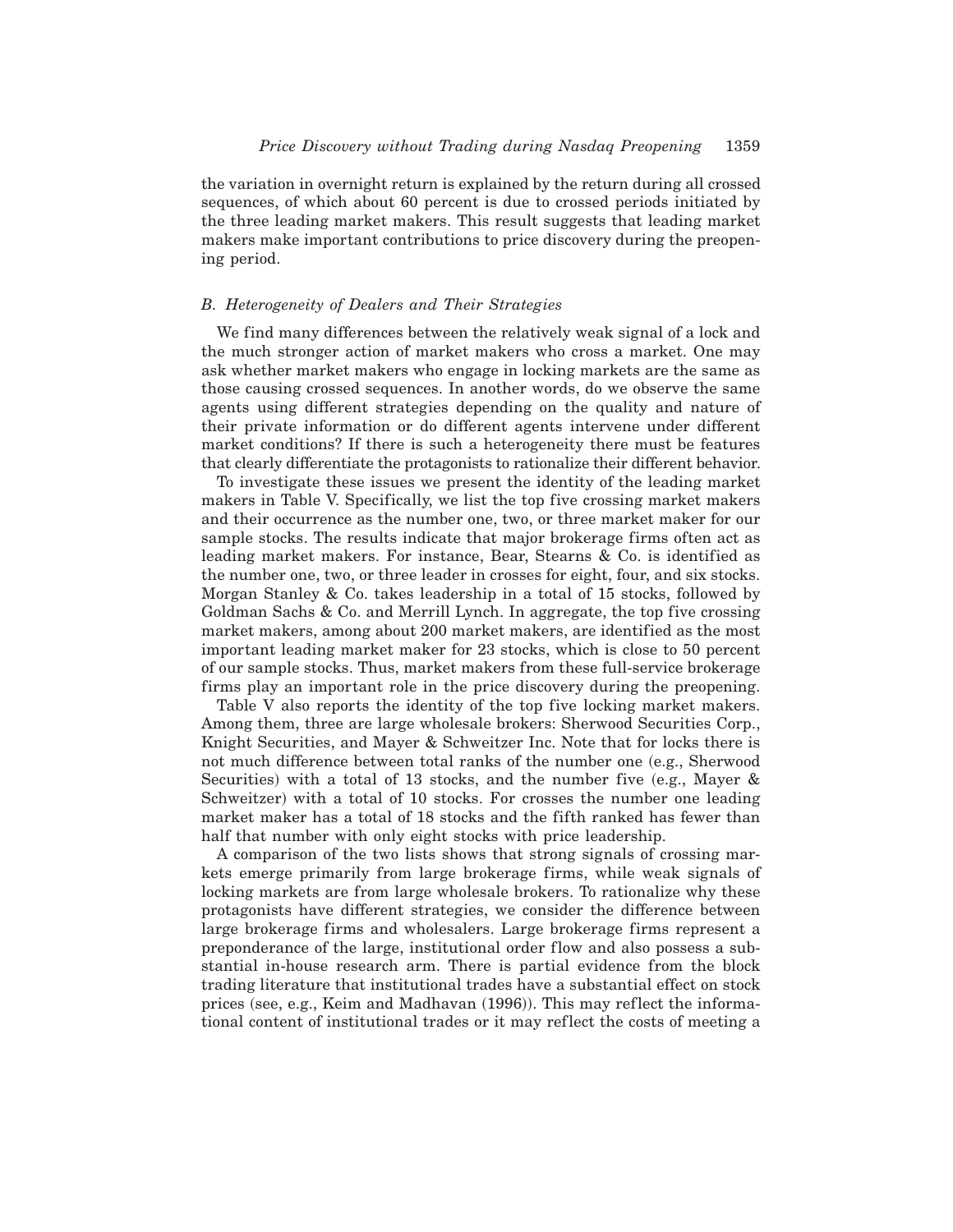the variation in overnight return is explained by the return during all crossed sequences, of which about 60 percent is due to crossed periods initiated by the three leading market makers. This result suggests that leading market makers make important contributions to price discovery during the preopening period.

## *B. Heterogeneity of Dealers and Their Strategies*

We find many differences between the relatively weak signal of a lock and the much stronger action of market makers who cross a market. One may ask whether market makers who engage in locking markets are the same as those causing crossed sequences. In another words, do we observe the same agents using different strategies depending on the quality and nature of their private information or do different agents intervene under different market conditions? If there is such a heterogeneity there must be features that clearly differentiate the protagonists to rationalize their different behavior.

To investigate these issues we present the identity of the leading market makers in Table V. Specifically, we list the top five crossing market makers and their occurrence as the number one, two, or three market maker for our sample stocks. The results indicate that major brokerage firms often act as leading market makers. For instance, Bear, Stearns & Co. is identified as the number one, two, or three leader in crosses for eight, four, and six stocks. Morgan Stanley & Co. takes leadership in a total of 15 stocks, followed by Goldman Sachs & Co. and Merrill Lynch. In aggregate, the top five crossing market makers, among about 200 market makers, are identified as the most important leading market maker for 23 stocks, which is close to 50 percent of our sample stocks. Thus, market makers from these full-service brokerage firms play an important role in the price discovery during the preopening.

Table V also reports the identity of the top five locking market makers. Among them, three are large wholesale brokers: Sherwood Securities Corp., Knight Securities, and Mayer & Schweitzer Inc. Note that for locks there is not much difference between total ranks of the number one (e.g., Sherwood Securities) with a total of 13 stocks, and the number five  $(e.g.,$  Mayer  $\&$ Schweitzer) with a total of 10 stocks. For crosses the number one leading market maker has a total of 18 stocks and the fifth ranked has fewer than half that number with only eight stocks with price leadership.

A comparison of the two lists shows that strong signals of crossing markets emerge primarily from large brokerage firms, while weak signals of locking markets are from large wholesale brokers. To rationalize why these protagonists have different strategies, we consider the difference between large brokerage firms and wholesalers. Large brokerage firms represent a preponderance of the large, institutional order flow and also possess a substantial in-house research arm. There is partial evidence from the block trading literature that institutional trades have a substantial effect on stock prices (see, e.g., Keim and Madhavan  $(1996)$ ). This may reflect the informational content of institutional trades or it may reflect the costs of meeting a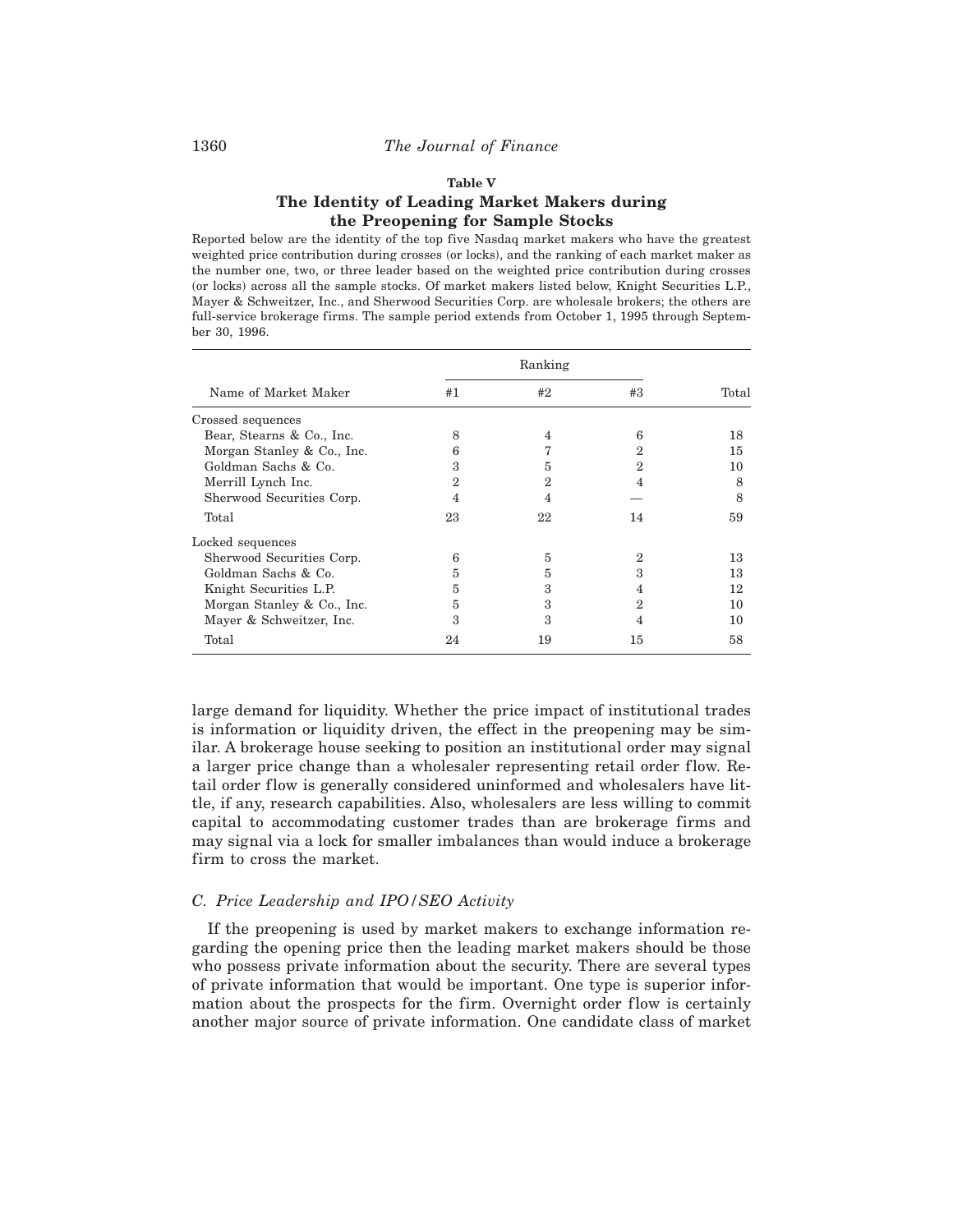#### **Table V**

# **The Identity of Leading Market Makers during the Preopening for Sample Stocks**

Reported below are the identity of the top five Nasdaq market makers who have the greatest weighted price contribution during crosses (or locks), and the ranking of each market maker as the number one, two, or three leader based on the weighted price contribution during crosses (or locks) across all the sample stocks. Of market makers listed below, Knight Securities L.P., Mayer & Schweitzer, Inc., and Sherwood Securities Corp. are wholesale brokers; the others are full-service brokerage firms. The sample period extends from October 1, 1995 through September 30, 1996.

| Name of Market Maker       | #1 | #2 | #3                | Total |
|----------------------------|----|----|-------------------|-------|
| Crossed sequences          |    |    |                   |       |
| Bear, Stearns & Co., Inc.  | 8  |    | 6                 | 18    |
| Morgan Stanley & Co., Inc. | 6  |    | $\mathcal{D}_{1}$ | 15    |
| Goldman Sachs & Co.        | 3  | 5  | 2                 | 10    |
| Merrill Lynch Inc.         | 2  | 2  |                   | 8     |
| Sherwood Securities Corp.  | 4  |    |                   | 8     |
| Total                      | 23 | 22 | 14                | 59    |
| Locked sequences           |    |    |                   |       |
| Sherwood Securities Corp.  | 6  | 5  | 2                 | 13    |
| Goldman Sachs & Co.        | 5  | 5  | З                 | 13    |
| Knight Securities L.P.     | 5  | 3  | 4                 | 12    |
| Morgan Stanley & Co., Inc. | 5  | 3  | 2                 | 10    |
| Mayer & Schweitzer, Inc.   | 3  | 3  | 4                 | 10    |
| Total                      | 24 | 19 | 15                | 58    |

large demand for liquidity. Whether the price impact of institutional trades is information or liquidity driven, the effect in the preopening may be similar. A brokerage house seeking to position an institutional order may signal a larger price change than a wholesaler representing retail order flow. Retail order flow is generally considered uninformed and wholesalers have little, if any, research capabilities. Also, wholesalers are less willing to commit capital to accommodating customer trades than are brokerage firms and may signal via a lock for smaller imbalances than would induce a brokerage firm to cross the market.

## *C. Price Leadership and IPO/SEO Activity*

If the preopening is used by market makers to exchange information regarding the opening price then the leading market makers should be those who possess private information about the security. There are several types of private information that would be important. One type is superior information about the prospects for the firm. Overnight order flow is certainly another major source of private information. One candidate class of market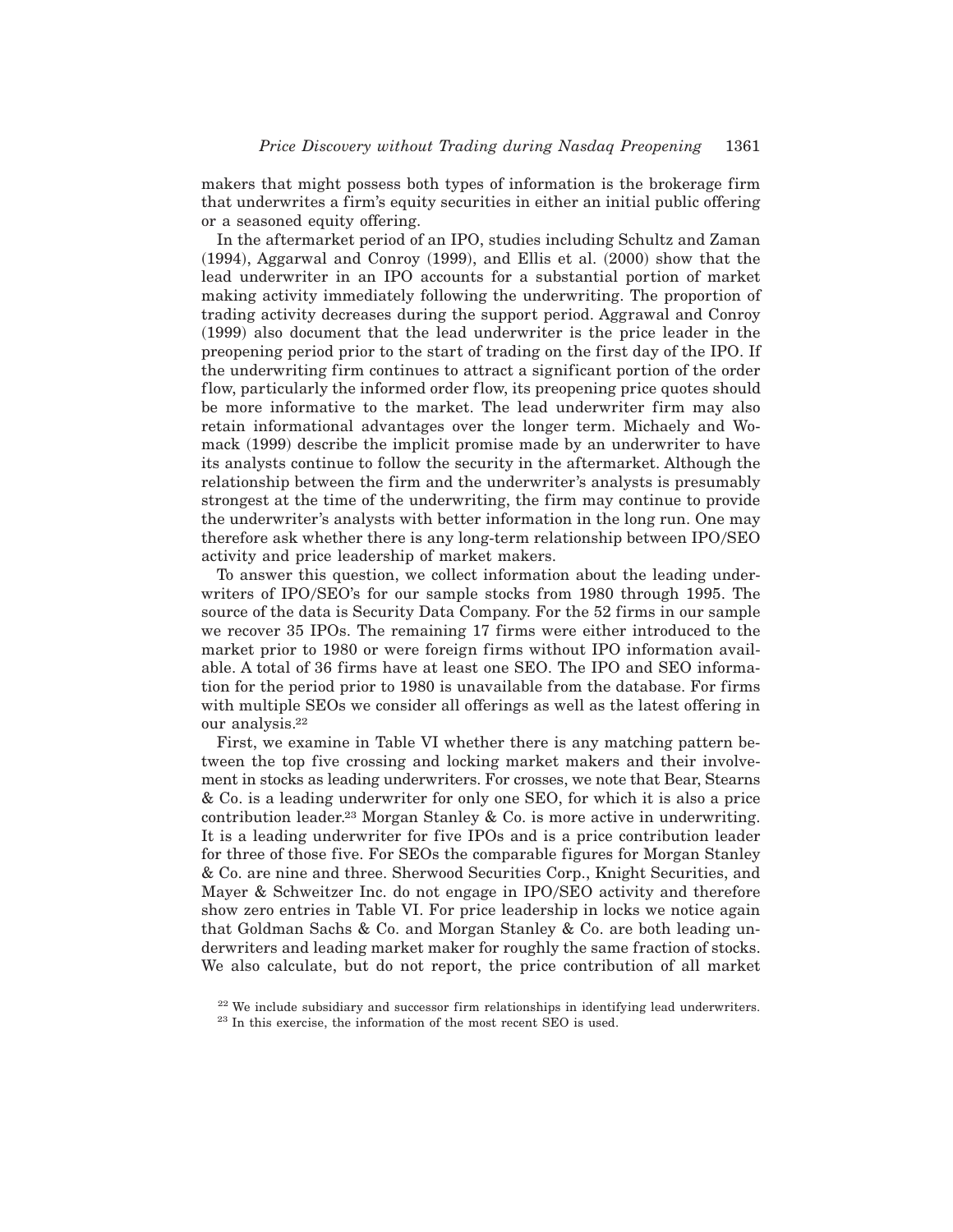makers that might possess both types of information is the brokerage firm that underwrites a firm's equity securities in either an initial public offering or a seasoned equity offering.

In the aftermarket period of an IPO, studies including Schultz and Zaman  $(1994)$ , Aggarwal and Conroy  $(1999)$ , and Ellis et al.  $(2000)$  show that the lead underwriter in an IPO accounts for a substantial portion of market making activity immediately following the underwriting. The proportion of trading activity decreases during the support period. Aggrawal and Conroy (1999) also document that the lead underwriter is the price leader in the preopening period prior to the start of trading on the first day of the IPO. If the underwriting firm continues to attract a significant portion of the order flow, particularly the informed order flow, its preopening price quotes should be more informative to the market. The lead underwriter firm may also retain informational advantages over the longer term. Michaely and Womack (1999) describe the implicit promise made by an underwriter to have its analysts continue to follow the security in the aftermarket. Although the relationship between the firm and the underwriter's analysts is presumably strongest at the time of the underwriting, the firm may continue to provide the underwriter's analysts with better information in the long run. One may therefore ask whether there is any long-term relationship between IPO/SEO activity and price leadership of market makers.

To answer this question, we collect information about the leading underwriters of IPO/SEO's for our sample stocks from 1980 through 1995. The source of the data is Security Data Company. For the 52 firms in our sample we recover 35 IPOs. The remaining 17 firms were either introduced to the market prior to 1980 or were foreign firms without IPO information available. A total of 36 firms have at least one SEO. The IPO and SEO information for the period prior to 1980 is unavailable from the database. For firms with multiple SEOs we consider all offerings as well as the latest offering in our analysis.22

First, we examine in Table VI whether there is any matching pattern between the top five crossing and locking market makers and their involvement in stocks as leading underwriters. For crosses, we note that Bear, Stearns & Co. is a leading underwriter for only one SEO, for which it is also a price contribution leader.23 Morgan Stanley & Co. is more active in underwriting. It is a leading underwriter for five IPOs and is a price contribution leader for three of those five. For SEOs the comparable figures for Morgan Stanley & Co. are nine and three. Sherwood Securities Corp., Knight Securities, and Mayer  $\&$  Schweitzer Inc. do not engage in IPO/SEO activity and therefore show zero entries in Table VI. For price leadership in locks we notice again that Goldman Sachs & Co. and Morgan Stanley & Co. are both leading underwriters and leading market maker for roughly the same fraction of stocks. We also calculate, but do not report, the price contribution of all market

 $22$  We include subsidiary and successor firm relationships in identifying lead underwriters.

<sup>23</sup> In this exercise, the information of the most recent SEO is used.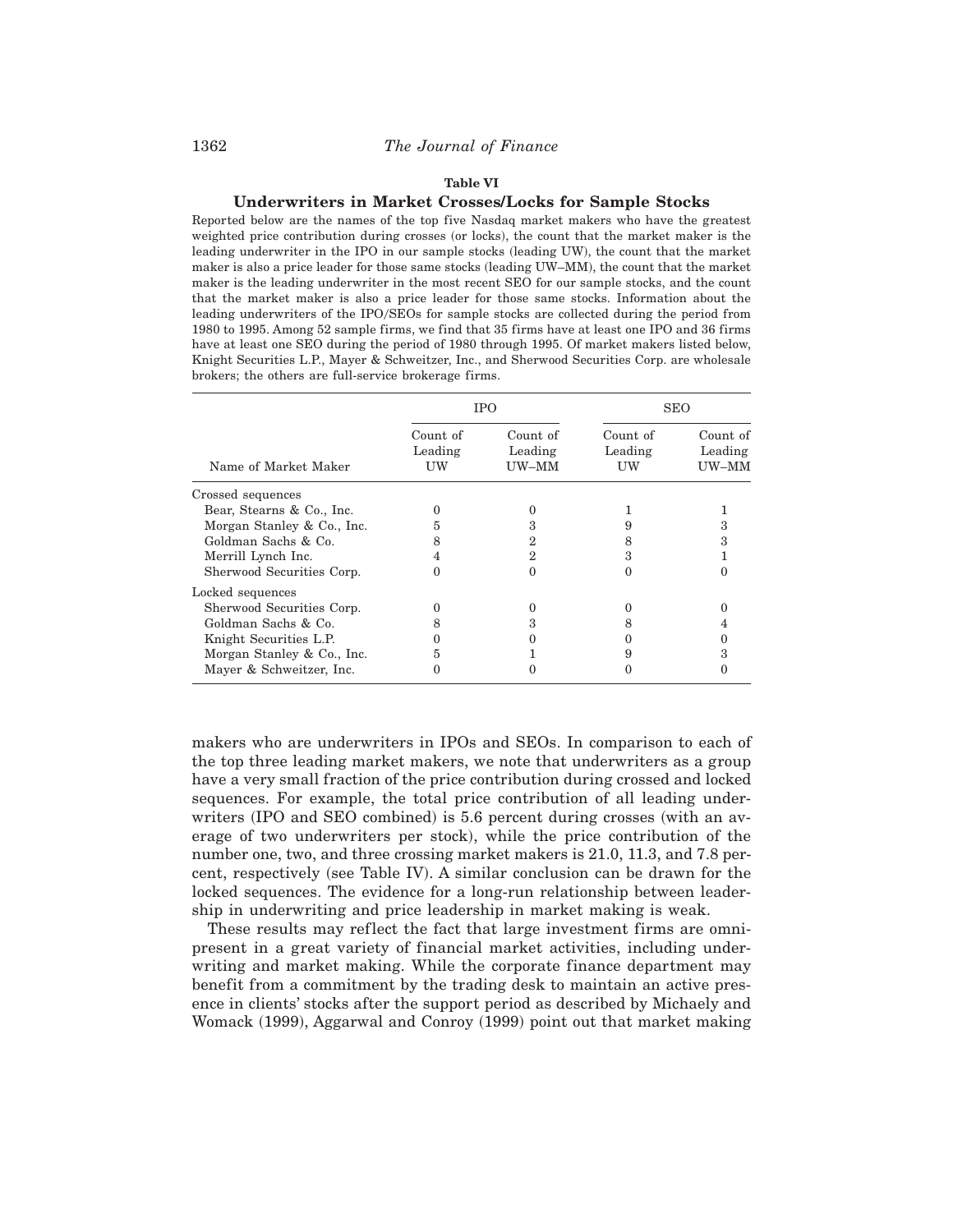#### **Table VI**

#### **Underwriters in Market Crosses/Locks for Sample Stocks**

Reported below are the names of the top five Nasdaq market makers who have the greatest weighted price contribution during crosses (or locks), the count that the market maker is the leading underwriter in the IPO in our sample stocks (leading UW), the count that the market maker is also a price leader for those same stocks (leading UW–MM), the count that the market maker is the leading underwriter in the most recent SEO for our sample stocks, and the count that the market maker is also a price leader for those same stocks. Information about the leading underwriters of the IPO/SEOs for sample stocks are collected during the period from 1980 to 1995. Among 52 sample firms, we find that 35 firms have at least one IPO and 36 firms have at least one SEO during the period of 1980 through 1995. Of market makers listed below, Knight Securities L.P., Mayer & Schweitzer, Inc., and Sherwood Securities Corp. are wholesale brokers; the others are full-service brokerage firms.

|                            |                           | <b>IPO</b>                   | <b>SEO</b>                |                              |  |
|----------------------------|---------------------------|------------------------------|---------------------------|------------------------------|--|
| Name of Market Maker       | Count of<br>Leading<br>UW | Count of<br>Leading<br>UW–MM | Count of<br>Leading<br>UW | Count of<br>Leading<br>UW–MM |  |
| Crossed sequences          |                           |                              |                           |                              |  |
| Bear, Stearns & Co., Inc.  | $^{(1)}$                  |                              |                           |                              |  |
| Morgan Stanley & Co., Inc. | 5                         | 3                            | 9                         | З                            |  |
| Goldman Sachs & Co.        | 8                         | 2                            | 8                         | 3                            |  |
| Merrill Lynch Inc.         | 4                         | 2                            | 3                         |                              |  |
| Sherwood Securities Corp.  |                           |                              | 0                         |                              |  |
| Locked sequences           |                           |                              |                           |                              |  |
| Sherwood Securities Corp.  |                           |                              |                           |                              |  |
| Goldman Sachs & Co.        | 8                         |                              | 8                         |                              |  |
| Knight Securities L.P.     |                           |                              |                           |                              |  |
| Morgan Stanley & Co., Inc. | 5                         |                              | 9                         |                              |  |
| Mayer & Schweitzer, Inc.   |                           |                              |                           |                              |  |

makers who are underwriters in IPOs and SEOs. In comparison to each of the top three leading market makers, we note that underwriters as a group have a very small fraction of the price contribution during crossed and locked sequences. For example, the total price contribution of all leading underwriters  $(1PO and SEO combined)$  is 5.6 percent during crosses (with an average of two underwriters per stock), while the price contribution of the number one, two, and three crossing market makers is 21.0, 11.3, and 7.8 percent, respectively (see Table IV). A similar conclusion can be drawn for the locked sequences. The evidence for a long-run relationship between leadership in underwriting and price leadership in market making is weak.

These results may reflect the fact that large investment firms are omnipresent in a great variety of financial market activities, including underwriting and market making. While the corporate finance department may benefit from a commitment by the trading desk to maintain an active presence in clients' stocks after the support period as described by Michaely and Womack (1999), Aggarwal and Conroy (1999) point out that market making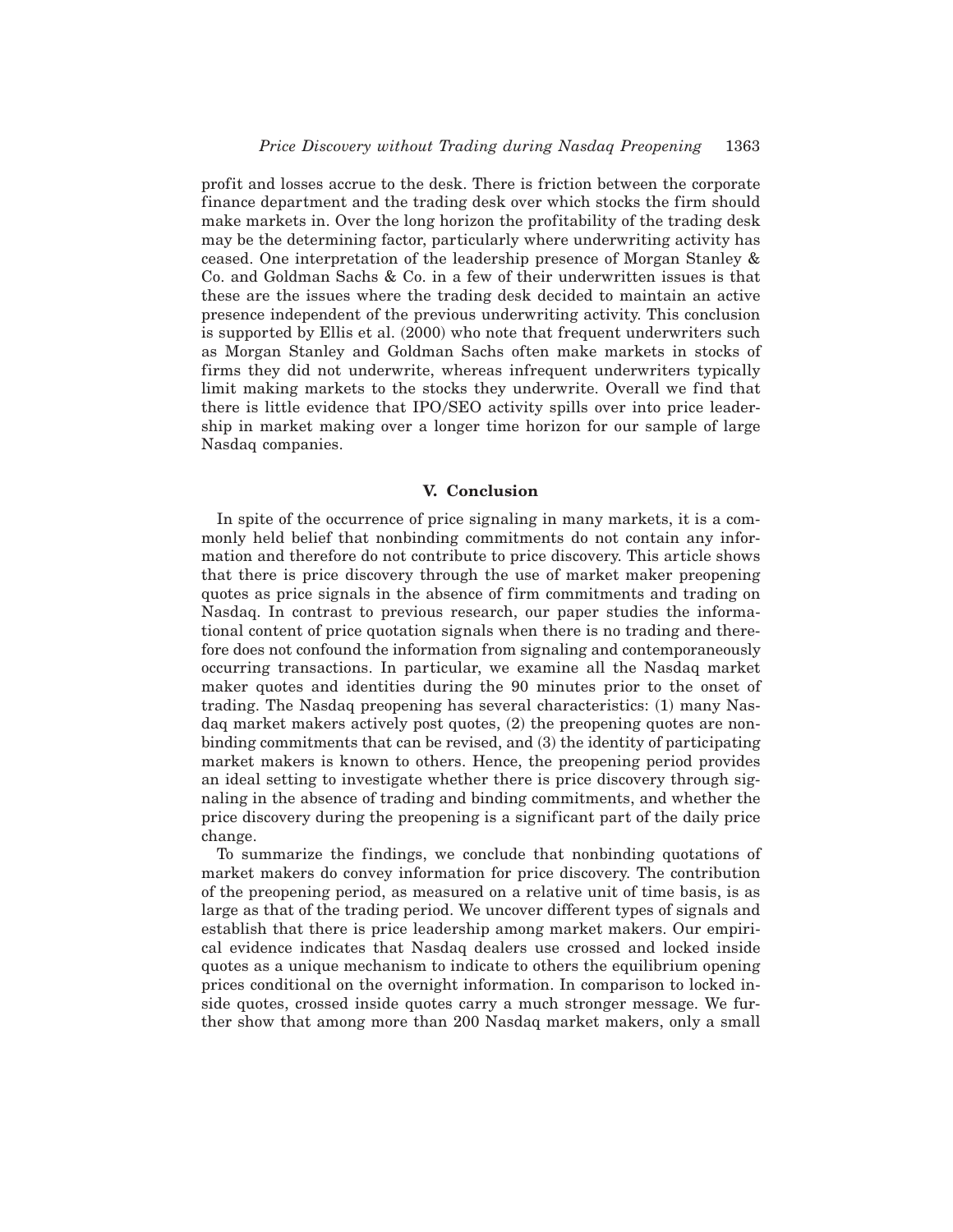profit and losses accrue to the desk. There is friction between the corporate finance department and the trading desk over which stocks the firm should make markets in. Over the long horizon the profitability of the trading desk may be the determining factor, particularly where underwriting activity has ceased. One interpretation of the leadership presence of Morgan Stanley & Co. and Goldman Sachs & Co. in a few of their underwritten issues is that these are the issues where the trading desk decided to maintain an active presence independent of the previous underwriting activity. This conclusion is supported by Ellis et al.  $(2000)$  who note that frequent underwriters such as Morgan Stanley and Goldman Sachs often make markets in stocks of firms they did not underwrite, whereas infrequent underwriters typically limit making markets to the stocks they underwrite. Overall we find that there is little evidence that IPO/SEO activity spills over into price leadership in market making over a longer time horizon for our sample of large Nasdaq companies.

## **V. Conclusion**

In spite of the occurrence of price signaling in many markets, it is a commonly held belief that nonbinding commitments do not contain any information and therefore do not contribute to price discovery. This article shows that there is price discovery through the use of market maker preopening quotes as price signals in the absence of firm commitments and trading on Nasdaq. In contrast to previous research, our paper studies the informational content of price quotation signals when there is no trading and therefore does not confound the information from signaling and contemporaneously occurring transactions. In particular, we examine all the Nasdaq market maker quotes and identities during the 90 minutes prior to the onset of trading. The Nasdaq preopening has several characteristics:  $(1)$  many Nasdaq market makers actively post quotes,  $(2)$  the preopening quotes are nonbinding commitments that can be revised, and  $(3)$  the identity of participating market makers is known to others. Hence, the preopening period provides an ideal setting to investigate whether there is price discovery through signaling in the absence of trading and binding commitments, and whether the price discovery during the preopening is a significant part of the daily price change.

To summarize the findings, we conclude that nonbinding quotations of market makers do convey information for price discovery. The contribution of the preopening period, as measured on a relative unit of time basis, is as large as that of the trading period. We uncover different types of signals and establish that there is price leadership among market makers. Our empirical evidence indicates that Nasdaq dealers use crossed and locked inside quotes as a unique mechanism to indicate to others the equilibrium opening prices conditional on the overnight information. In comparison to locked inside quotes, crossed inside quotes carry a much stronger message. We further show that among more than 200 Nasdaq market makers, only a small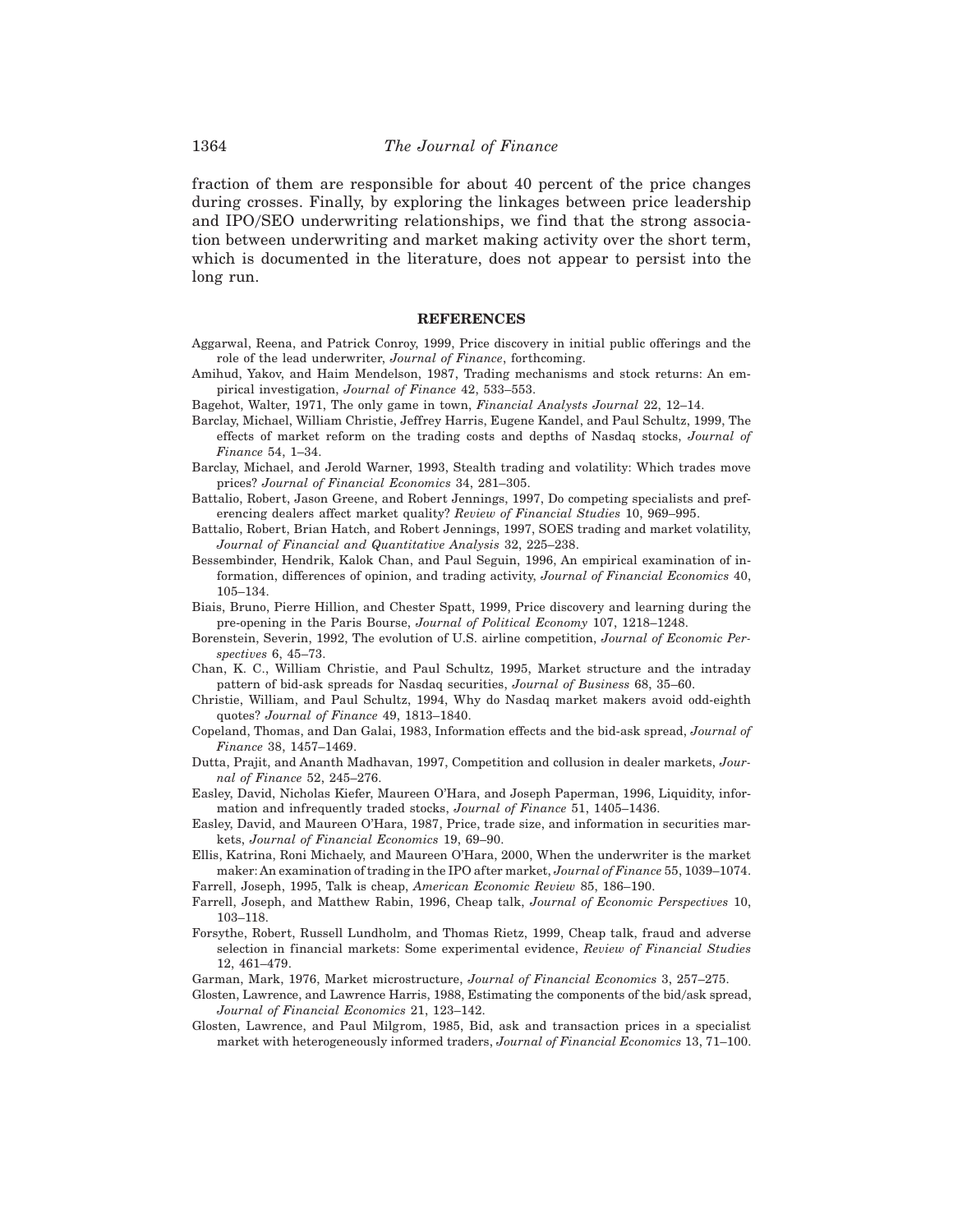fraction of them are responsible for about 40 percent of the price changes during crosses. Finally, by exploring the linkages between price leadership and IPO/SEO underwriting relationships, we find that the strong association between underwriting and market making activity over the short term, which is documented in the literature, does not appear to persist into the long run.

#### **REFERENCES**

- Aggarwal, Reena, and Patrick Conroy, 1999, Price discovery in initial public offerings and the role of the lead underwriter, *Journal of Finance*, forthcoming.
- Amihud, Yakov, and Haim Mendelson, 1987, Trading mechanisms and stock returns: An empirical investigation, *Journal of Finance* 42, 533–553.
- Bagehot, Walter, 1971, The only game in town, *Financial Analysts Journal* 22, 12–14.
- Barclay, Michael, William Christie, Jeffrey Harris, Eugene Kandel, and Paul Schultz, 1999, The effects of market reform on the trading costs and depths of Nasdaq stocks, *Journal of Finance* 54, 1–34.
- Barclay, Michael, and Jerold Warner, 1993, Stealth trading and volatility: Which trades move prices? *Journal of Financial Economics* 34, 281–305.
- Battalio, Robert, Jason Greene, and Robert Jennings, 1997, Do competing specialists and preferencing dealers affect market quality? *Review of Financial Studies* 10, 969–995.
- Battalio, Robert, Brian Hatch, and Robert Jennings, 1997, SOES trading and market volatility, *Journal of Financial and Quantitative Analysis* 32, 225–238.
- Bessembinder, Hendrik, Kalok Chan, and Paul Seguin, 1996, An empirical examination of information, differences of opinion, and trading activity, *Journal of Financial Economics* 40, 105–134.
- Biais, Bruno, Pierre Hillion, and Chester Spatt, 1999, Price discovery and learning during the pre-opening in the Paris Bourse, *Journal of Political Economy* 107, 1218–1248.
- Borenstein, Severin, 1992, The evolution of U.S. airline competition, *Journal of Economic Perspectives* 6, 45–73.
- Chan, K. C., William Christie, and Paul Schultz, 1995, Market structure and the intraday pattern of bid-ask spreads for Nasdaq securities, *Journal of Business* 68, 35–60.
- Christie, William, and Paul Schultz, 1994, Why do Nasdaq market makers avoid odd-eighth quotes? *Journal of Finance* 49, 1813–1840.
- Copeland, Thomas, and Dan Galai, 1983, Information effects and the bid-ask spread, *Journal of Finance* 38, 1457–1469.
- Dutta, Prajit, and Ananth Madhavan, 1997, Competition and collusion in dealer markets, *Journal of Finance* 52, 245–276.
- Easley, David, Nicholas Kiefer, Maureen O'Hara, and Joseph Paperman, 1996, Liquidity, information and infrequently traded stocks, *Journal of Finance* 51, 1405–1436.
- Easley, David, and Maureen O'Hara, 1987, Price, trade size, and information in securities markets, *Journal of Financial Economics* 19, 69–90.
- Ellis, Katrina, Roni Michaely, and Maureen O'Hara, 2000, When the underwriter is the market maker: An examination of trading in the IPO after market, *Journal of Finance* 55, 1039–1074.
- Farrell, Joseph, 1995, Talk is cheap, *American Economic Review* 85, 186–190.
- Farrell, Joseph, and Matthew Rabin, 1996, Cheap talk, *Journal of Economic Perspectives* 10, 103–118.
- Forsythe, Robert, Russell Lundholm, and Thomas Rietz, 1999, Cheap talk, fraud and adverse selection in financial markets: Some experimental evidence, *Review of Financial Studies* 12, 461–479.
- Garman, Mark, 1976, Market microstructure, *Journal of Financial Economics* 3, 257–275.
- Glosten, Lawrence, and Lawrence Harris, 1988, Estimating the components of the bid/ask spread, *Journal of Financial Economics* 21, 123–142.
- Glosten, Lawrence, and Paul Milgrom, 1985, Bid, ask and transaction prices in a specialist market with heterogeneously informed traders, *Journal of Financial Economics* 13, 71–100.